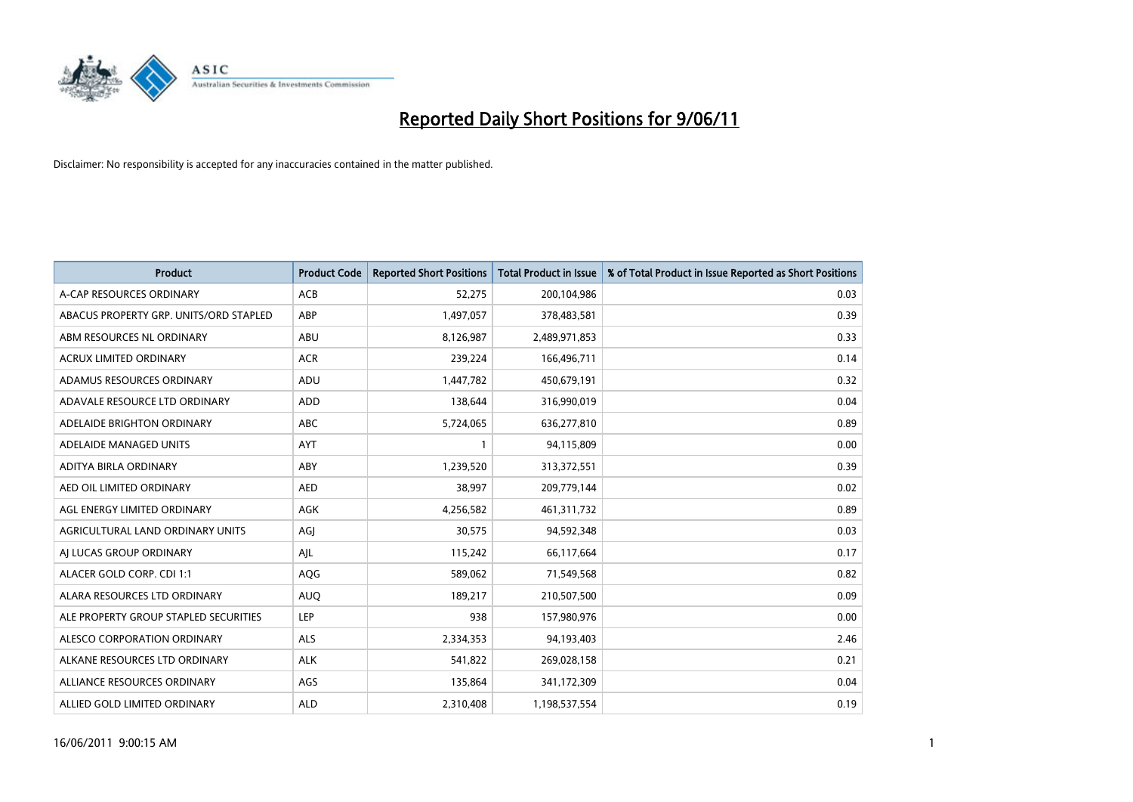

| <b>Product</b>                         | <b>Product Code</b> | <b>Reported Short Positions</b> | <b>Total Product in Issue</b> | % of Total Product in Issue Reported as Short Positions |
|----------------------------------------|---------------------|---------------------------------|-------------------------------|---------------------------------------------------------|
| A-CAP RESOURCES ORDINARY               | ACB                 | 52,275                          | 200,104,986                   | 0.03                                                    |
| ABACUS PROPERTY GRP. UNITS/ORD STAPLED | ABP                 | 1,497,057                       | 378,483,581                   | 0.39                                                    |
| ABM RESOURCES NL ORDINARY              | ABU                 | 8,126,987                       | 2,489,971,853                 | 0.33                                                    |
| ACRUX LIMITED ORDINARY                 | <b>ACR</b>          | 239,224                         | 166,496,711                   | 0.14                                                    |
| ADAMUS RESOURCES ORDINARY              | ADU                 | 1,447,782                       | 450,679,191                   | 0.32                                                    |
| ADAVALE RESOURCE LTD ORDINARY          | <b>ADD</b>          | 138,644                         | 316,990,019                   | 0.04                                                    |
| ADELAIDE BRIGHTON ORDINARY             | <b>ABC</b>          | 5,724,065                       | 636,277,810                   | 0.89                                                    |
| ADELAIDE MANAGED UNITS                 | <b>AYT</b>          |                                 | 94,115,809                    | 0.00                                                    |
| ADITYA BIRLA ORDINARY                  | ABY                 | 1,239,520                       | 313,372,551                   | 0.39                                                    |
| AED OIL LIMITED ORDINARY               | <b>AED</b>          | 38,997                          | 209,779,144                   | 0.02                                                    |
| AGL ENERGY LIMITED ORDINARY            | <b>AGK</b>          | 4,256,582                       | 461,311,732                   | 0.89                                                    |
| AGRICULTURAL LAND ORDINARY UNITS       | AGJ                 | 30,575                          | 94,592,348                    | 0.03                                                    |
| AI LUCAS GROUP ORDINARY                | AJL                 | 115,242                         | 66,117,664                    | 0.17                                                    |
| ALACER GOLD CORP. CDI 1:1              | AQG                 | 589,062                         | 71,549,568                    | 0.82                                                    |
| ALARA RESOURCES LTD ORDINARY           | <b>AUQ</b>          | 189,217                         | 210,507,500                   | 0.09                                                    |
| ALE PROPERTY GROUP STAPLED SECURITIES  | LEP                 | 938                             | 157,980,976                   | 0.00                                                    |
| ALESCO CORPORATION ORDINARY            | <b>ALS</b>          | 2,334,353                       | 94,193,403                    | 2.46                                                    |
| ALKANE RESOURCES LTD ORDINARY          | <b>ALK</b>          | 541,822                         | 269,028,158                   | 0.21                                                    |
| ALLIANCE RESOURCES ORDINARY            | AGS                 | 135,864                         | 341,172,309                   | 0.04                                                    |
| ALLIED GOLD LIMITED ORDINARY           | <b>ALD</b>          | 2,310,408                       | 1,198,537,554                 | 0.19                                                    |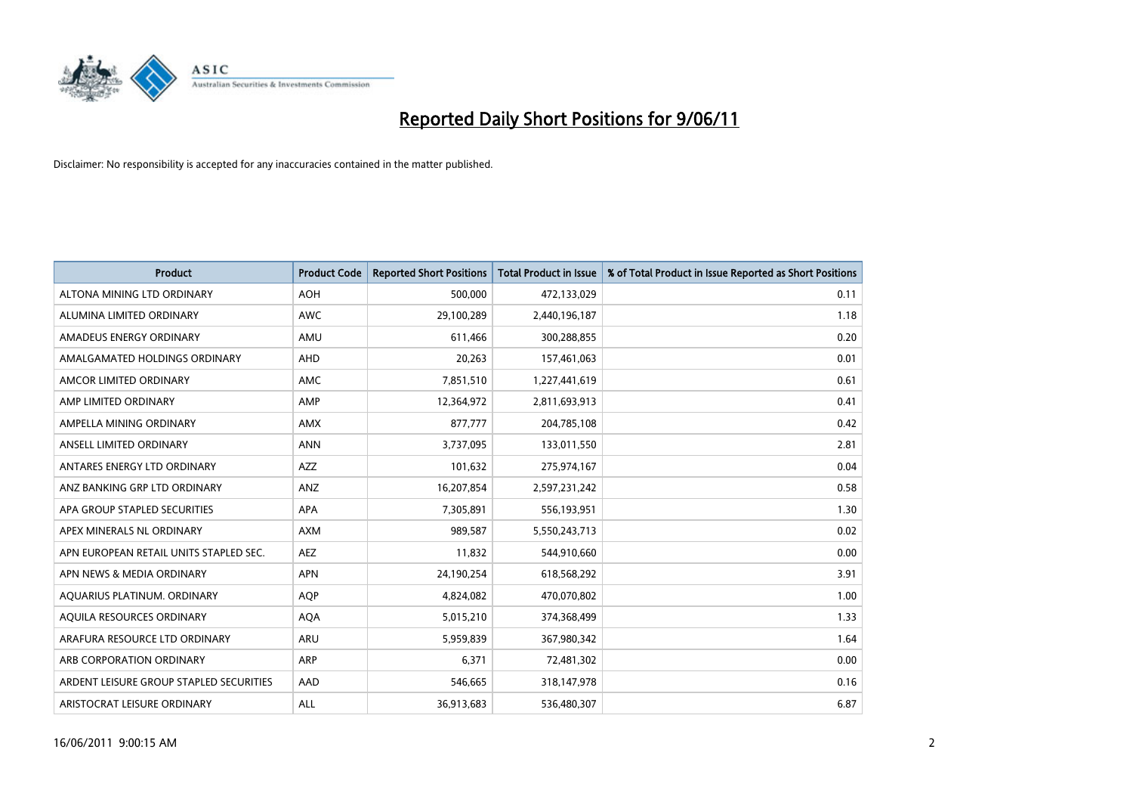

| <b>Product</b>                          | <b>Product Code</b> | <b>Reported Short Positions</b> | <b>Total Product in Issue</b> | % of Total Product in Issue Reported as Short Positions |
|-----------------------------------------|---------------------|---------------------------------|-------------------------------|---------------------------------------------------------|
| ALTONA MINING LTD ORDINARY              | <b>AOH</b>          | 500,000                         | 472,133,029                   | 0.11                                                    |
| ALUMINA LIMITED ORDINARY                | <b>AWC</b>          | 29,100,289                      | 2,440,196,187                 | 1.18                                                    |
| AMADEUS ENERGY ORDINARY                 | AMU                 | 611,466                         | 300,288,855                   | 0.20                                                    |
| AMALGAMATED HOLDINGS ORDINARY           | AHD                 | 20,263                          | 157,461,063                   | 0.01                                                    |
| AMCOR LIMITED ORDINARY                  | <b>AMC</b>          | 7,851,510                       | 1,227,441,619                 | 0.61                                                    |
| AMP LIMITED ORDINARY                    | AMP                 | 12,364,972                      | 2,811,693,913                 | 0.41                                                    |
| AMPELLA MINING ORDINARY                 | <b>AMX</b>          | 877,777                         | 204,785,108                   | 0.42                                                    |
| ANSELL LIMITED ORDINARY                 | <b>ANN</b>          | 3,737,095                       | 133,011,550                   | 2.81                                                    |
| ANTARES ENERGY LTD ORDINARY             | <b>AZZ</b>          | 101,632                         | 275,974,167                   | 0.04                                                    |
| ANZ BANKING GRP LTD ORDINARY            | ANZ                 | 16,207,854                      | 2,597,231,242                 | 0.58                                                    |
| APA GROUP STAPLED SECURITIES            | <b>APA</b>          | 7,305,891                       | 556,193,951                   | 1.30                                                    |
| APEX MINERALS NL ORDINARY               | <b>AXM</b>          | 989,587                         | 5,550,243,713                 | 0.02                                                    |
| APN EUROPEAN RETAIL UNITS STAPLED SEC.  | <b>AEZ</b>          | 11,832                          | 544,910,660                   | 0.00                                                    |
| APN NEWS & MEDIA ORDINARY               | <b>APN</b>          | 24,190,254                      | 618,568,292                   | 3.91                                                    |
| AQUARIUS PLATINUM. ORDINARY             | <b>AOP</b>          | 4,824,082                       | 470,070,802                   | 1.00                                                    |
| AQUILA RESOURCES ORDINARY               | <b>AQA</b>          | 5,015,210                       | 374,368,499                   | 1.33                                                    |
| ARAFURA RESOURCE LTD ORDINARY           | <b>ARU</b>          | 5,959,839                       | 367,980,342                   | 1.64                                                    |
| ARB CORPORATION ORDINARY                | <b>ARP</b>          | 6,371                           | 72,481,302                    | 0.00                                                    |
| ARDENT LEISURE GROUP STAPLED SECURITIES | AAD                 | 546,665                         | 318,147,978                   | 0.16                                                    |
| ARISTOCRAT LEISURE ORDINARY             | <b>ALL</b>          | 36,913,683                      | 536,480,307                   | 6.87                                                    |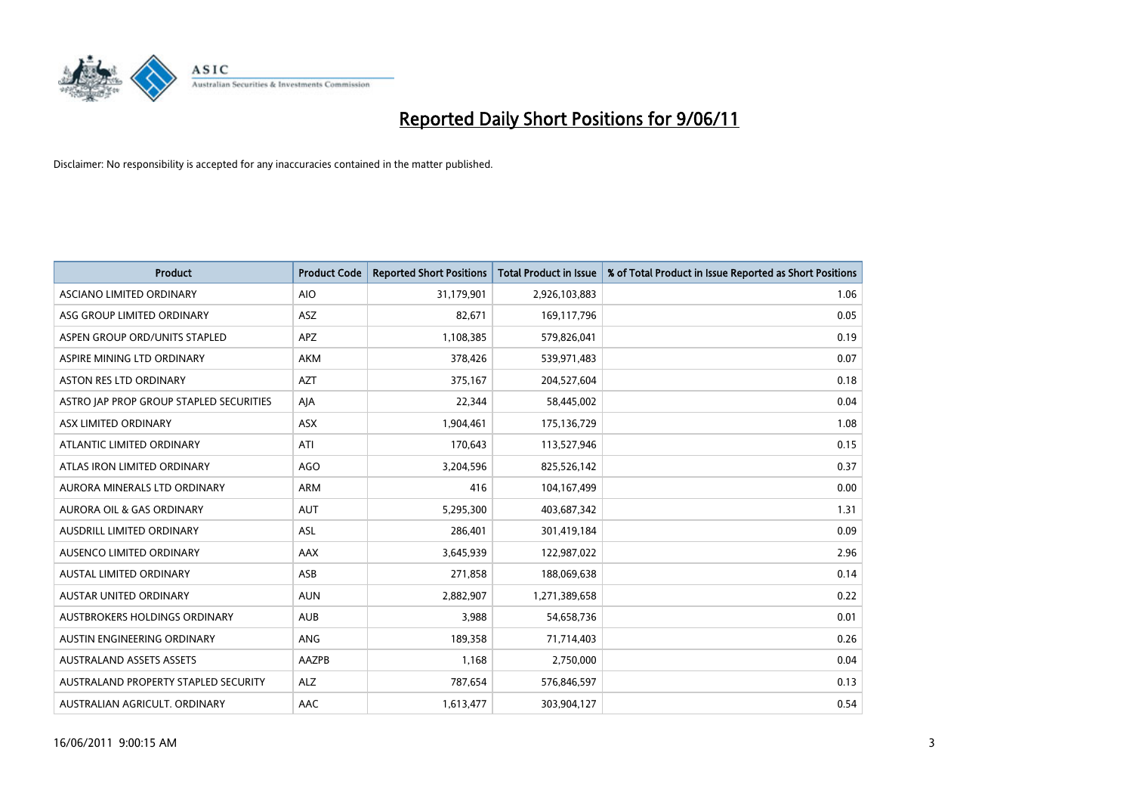

| <b>Product</b>                          | <b>Product Code</b> | <b>Reported Short Positions</b> | <b>Total Product in Issue</b> | % of Total Product in Issue Reported as Short Positions |
|-----------------------------------------|---------------------|---------------------------------|-------------------------------|---------------------------------------------------------|
| ASCIANO LIMITED ORDINARY                | <b>AIO</b>          | 31,179,901                      | 2,926,103,883                 | 1.06                                                    |
| ASG GROUP LIMITED ORDINARY              | <b>ASZ</b>          | 82,671                          | 169,117,796                   | 0.05                                                    |
| ASPEN GROUP ORD/UNITS STAPLED           | <b>APZ</b>          | 1,108,385                       | 579,826,041                   | 0.19                                                    |
| ASPIRE MINING LTD ORDINARY              | <b>AKM</b>          | 378,426                         | 539,971,483                   | 0.07                                                    |
| <b>ASTON RES LTD ORDINARY</b>           | <b>AZT</b>          | 375,167                         | 204,527,604                   | 0.18                                                    |
| ASTRO JAP PROP GROUP STAPLED SECURITIES | AJA                 | 22,344                          | 58,445,002                    | 0.04                                                    |
| ASX LIMITED ORDINARY                    | <b>ASX</b>          | 1,904,461                       | 175,136,729                   | 1.08                                                    |
| ATLANTIC LIMITED ORDINARY               | ATI                 | 170,643                         | 113,527,946                   | 0.15                                                    |
| ATLAS IRON LIMITED ORDINARY             | <b>AGO</b>          | 3,204,596                       | 825,526,142                   | 0.37                                                    |
| AURORA MINERALS LTD ORDINARY            | <b>ARM</b>          | 416                             | 104,167,499                   | 0.00                                                    |
| AURORA OIL & GAS ORDINARY               | <b>AUT</b>          | 5,295,300                       | 403,687,342                   | 1.31                                                    |
| AUSDRILL LIMITED ORDINARY               | <b>ASL</b>          | 286,401                         | 301,419,184                   | 0.09                                                    |
| AUSENCO LIMITED ORDINARY                | <b>AAX</b>          | 3,645,939                       | 122,987,022                   | 2.96                                                    |
| <b>AUSTAL LIMITED ORDINARY</b>          | ASB                 | 271,858                         | 188,069,638                   | 0.14                                                    |
| <b>AUSTAR UNITED ORDINARY</b>           | <b>AUN</b>          | 2,882,907                       | 1,271,389,658                 | 0.22                                                    |
| AUSTBROKERS HOLDINGS ORDINARY           | <b>AUB</b>          | 3,988                           | 54,658,736                    | 0.01                                                    |
| AUSTIN ENGINEERING ORDINARY             | ANG                 | 189,358                         | 71,714,403                    | 0.26                                                    |
| AUSTRALAND ASSETS ASSETS                | AAZPB               | 1,168                           | 2,750,000                     | 0.04                                                    |
| AUSTRALAND PROPERTY STAPLED SECURITY    | <b>ALZ</b>          | 787,654                         | 576,846,597                   | 0.13                                                    |
| AUSTRALIAN AGRICULT. ORDINARY           | AAC                 | 1,613,477                       | 303,904,127                   | 0.54                                                    |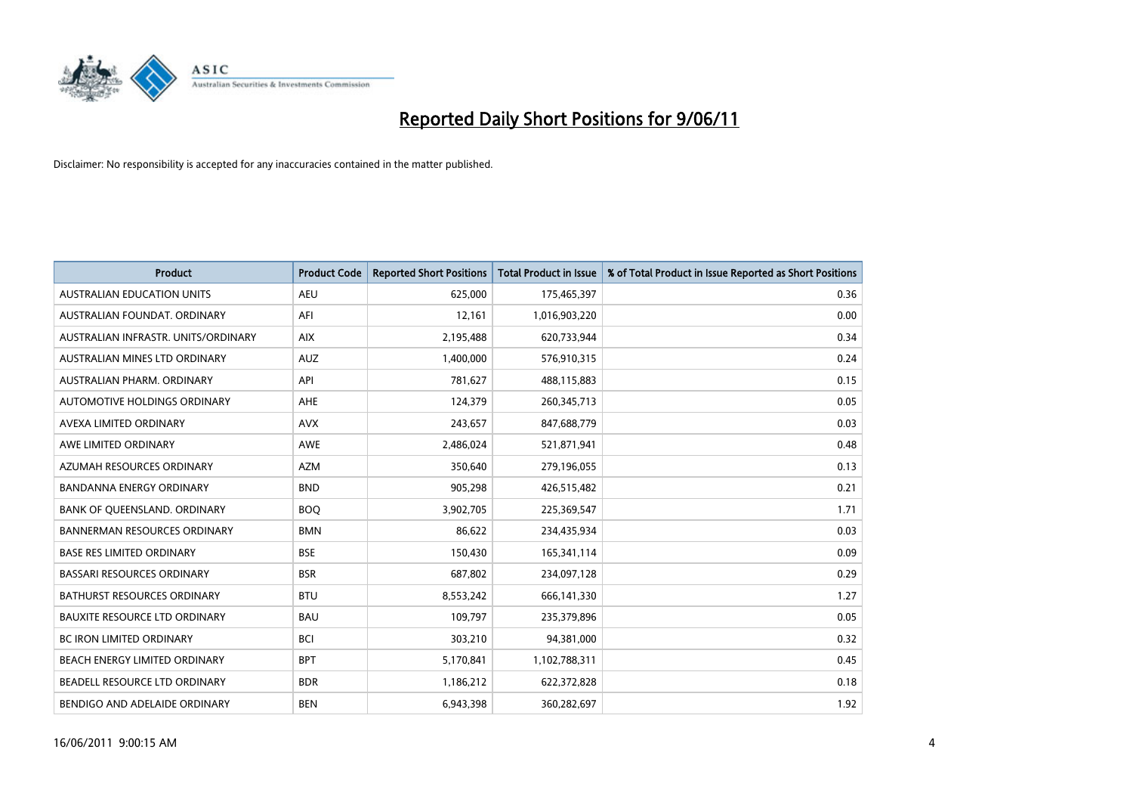

| <b>Product</b>                       | <b>Product Code</b> | <b>Reported Short Positions</b> | <b>Total Product in Issue</b> | % of Total Product in Issue Reported as Short Positions |
|--------------------------------------|---------------------|---------------------------------|-------------------------------|---------------------------------------------------------|
| <b>AUSTRALIAN EDUCATION UNITS</b>    | <b>AEU</b>          | 625,000                         | 175,465,397                   | 0.36                                                    |
| AUSTRALIAN FOUNDAT. ORDINARY         | AFI                 | 12,161                          | 1,016,903,220                 | 0.00                                                    |
| AUSTRALIAN INFRASTR, UNITS/ORDINARY  | <b>AIX</b>          | 2,195,488                       | 620,733,944                   | 0.34                                                    |
| AUSTRALIAN MINES LTD ORDINARY        | <b>AUZ</b>          | 1,400,000                       | 576,910,315                   | 0.24                                                    |
| AUSTRALIAN PHARM, ORDINARY           | API                 | 781,627                         | 488,115,883                   | 0.15                                                    |
| AUTOMOTIVE HOLDINGS ORDINARY         | <b>AHE</b>          | 124,379                         | 260,345,713                   | 0.05                                                    |
| AVEXA LIMITED ORDINARY               | <b>AVX</b>          | 243,657                         | 847,688,779                   | 0.03                                                    |
| AWE LIMITED ORDINARY                 | AWE                 | 2,486,024                       | 521,871,941                   | 0.48                                                    |
| AZUMAH RESOURCES ORDINARY            | <b>AZM</b>          | 350,640                         | 279,196,055                   | 0.13                                                    |
| <b>BANDANNA ENERGY ORDINARY</b>      | <b>BND</b>          | 905,298                         | 426,515,482                   | 0.21                                                    |
| BANK OF QUEENSLAND. ORDINARY         | <b>BOO</b>          | 3,902,705                       | 225,369,547                   | 1.71                                                    |
| <b>BANNERMAN RESOURCES ORDINARY</b>  | <b>BMN</b>          | 86,622                          | 234,435,934                   | 0.03                                                    |
| <b>BASE RES LIMITED ORDINARY</b>     | <b>BSE</b>          | 150,430                         | 165,341,114                   | 0.09                                                    |
| <b>BASSARI RESOURCES ORDINARY</b>    | <b>BSR</b>          | 687,802                         | 234,097,128                   | 0.29                                                    |
| BATHURST RESOURCES ORDINARY          | <b>BTU</b>          | 8,553,242                       | 666,141,330                   | 1.27                                                    |
| <b>BAUXITE RESOURCE LTD ORDINARY</b> | <b>BAU</b>          | 109,797                         | 235,379,896                   | 0.05                                                    |
| <b>BC IRON LIMITED ORDINARY</b>      | <b>BCI</b>          | 303,210                         | 94,381,000                    | 0.32                                                    |
| BEACH ENERGY LIMITED ORDINARY        | <b>BPT</b>          | 5,170,841                       | 1,102,788,311                 | 0.45                                                    |
| BEADELL RESOURCE LTD ORDINARY        | <b>BDR</b>          | 1,186,212                       | 622,372,828                   | 0.18                                                    |
| BENDIGO AND ADELAIDE ORDINARY        | <b>BEN</b>          | 6,943,398                       | 360,282,697                   | 1.92                                                    |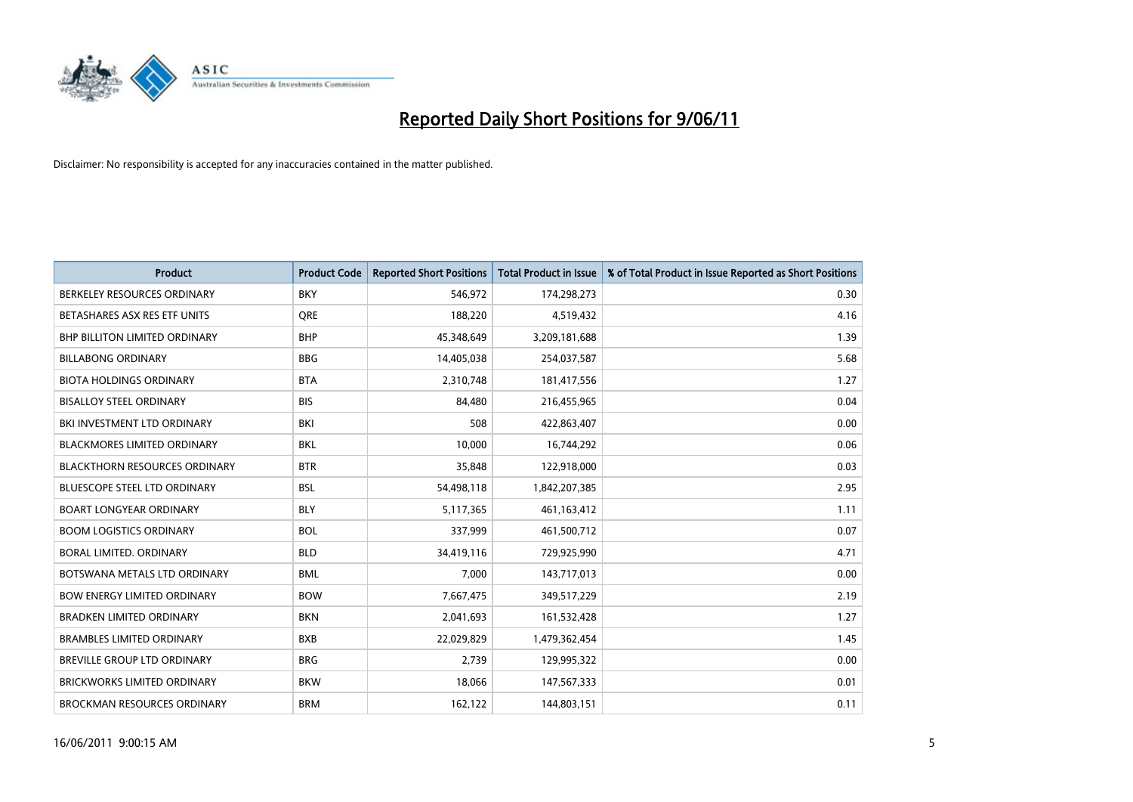

| <b>Product</b>                       | <b>Product Code</b> | <b>Reported Short Positions</b> | <b>Total Product in Issue</b> | % of Total Product in Issue Reported as Short Positions |
|--------------------------------------|---------------------|---------------------------------|-------------------------------|---------------------------------------------------------|
| BERKELEY RESOURCES ORDINARY          | <b>BKY</b>          | 546,972                         | 174,298,273                   | 0.30                                                    |
| BETASHARES ASX RES ETF UNITS         | <b>ORE</b>          | 188,220                         | 4,519,432                     | 4.16                                                    |
| <b>BHP BILLITON LIMITED ORDINARY</b> | <b>BHP</b>          | 45,348,649                      | 3,209,181,688                 | 1.39                                                    |
| <b>BILLABONG ORDINARY</b>            | <b>BBG</b>          | 14,405,038                      | 254,037,587                   | 5.68                                                    |
| <b>BIOTA HOLDINGS ORDINARY</b>       | <b>BTA</b>          | 2,310,748                       | 181,417,556                   | 1.27                                                    |
| <b>BISALLOY STEEL ORDINARY</b>       | <b>BIS</b>          | 84,480                          | 216,455,965                   | 0.04                                                    |
| BKI INVESTMENT LTD ORDINARY          | <b>BKI</b>          | 508                             | 422,863,407                   | 0.00                                                    |
| <b>BLACKMORES LIMITED ORDINARY</b>   | <b>BKL</b>          | 10,000                          | 16,744,292                    | 0.06                                                    |
| <b>BLACKTHORN RESOURCES ORDINARY</b> | <b>BTR</b>          | 35,848                          | 122,918,000                   | 0.03                                                    |
| <b>BLUESCOPE STEEL LTD ORDINARY</b>  | <b>BSL</b>          | 54,498,118                      | 1,842,207,385                 | 2.95                                                    |
| <b>BOART LONGYEAR ORDINARY</b>       | <b>BLY</b>          | 5,117,365                       | 461, 163, 412                 | 1.11                                                    |
| <b>BOOM LOGISTICS ORDINARY</b>       | <b>BOL</b>          | 337,999                         | 461,500,712                   | 0.07                                                    |
| BORAL LIMITED. ORDINARY              | <b>BLD</b>          | 34,419,116                      | 729,925,990                   | 4.71                                                    |
| BOTSWANA METALS LTD ORDINARY         | <b>BML</b>          | 7,000                           | 143,717,013                   | 0.00                                                    |
| <b>BOW ENERGY LIMITED ORDINARY</b>   | <b>BOW</b>          | 7,667,475                       | 349,517,229                   | 2.19                                                    |
| <b>BRADKEN LIMITED ORDINARY</b>      | <b>BKN</b>          | 2,041,693                       | 161,532,428                   | 1.27                                                    |
| <b>BRAMBLES LIMITED ORDINARY</b>     | <b>BXB</b>          | 22,029,829                      | 1,479,362,454                 | 1.45                                                    |
| BREVILLE GROUP LTD ORDINARY          | <b>BRG</b>          | 2,739                           | 129,995,322                   | 0.00                                                    |
| <b>BRICKWORKS LIMITED ORDINARY</b>   | <b>BKW</b>          | 18,066                          | 147,567,333                   | 0.01                                                    |
| BROCKMAN RESOURCES ORDINARY          | <b>BRM</b>          | 162,122                         | 144,803,151                   | 0.11                                                    |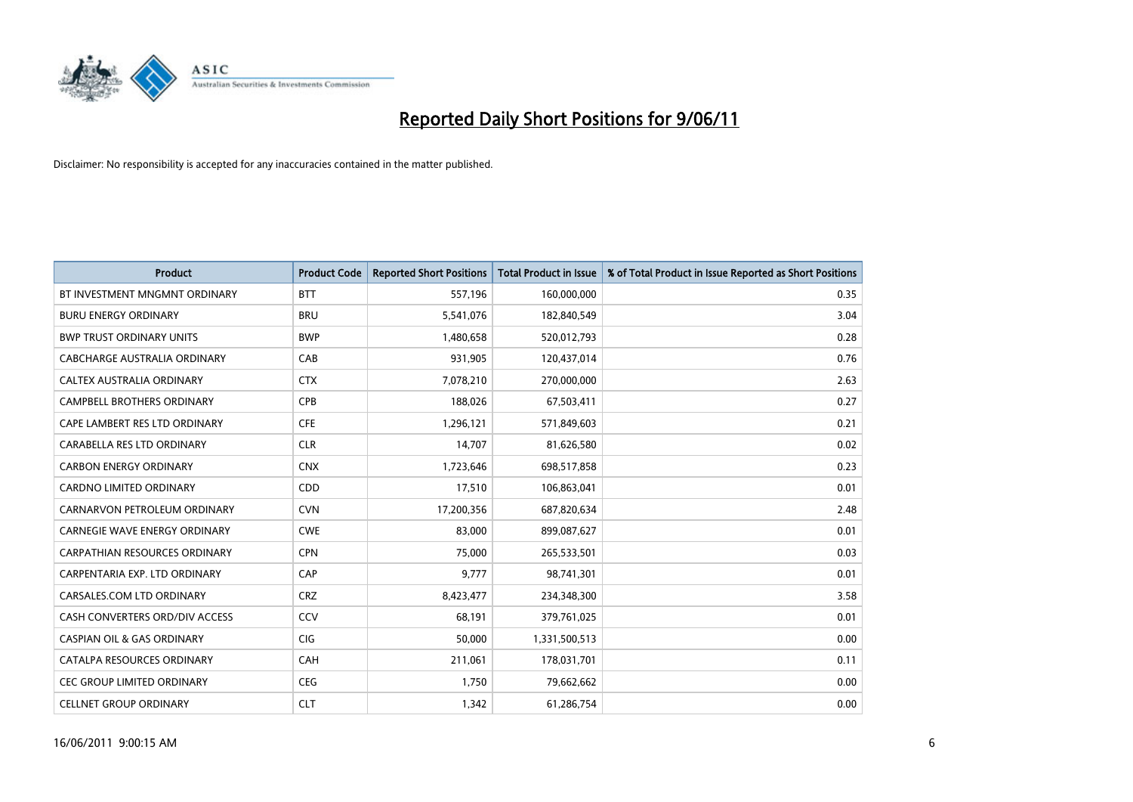

| <b>Product</b>                        | <b>Product Code</b> | <b>Reported Short Positions</b> | <b>Total Product in Issue</b> | % of Total Product in Issue Reported as Short Positions |
|---------------------------------------|---------------------|---------------------------------|-------------------------------|---------------------------------------------------------|
| BT INVESTMENT MNGMNT ORDINARY         | <b>BTT</b>          | 557,196                         | 160,000,000                   | 0.35                                                    |
| <b>BURU ENERGY ORDINARY</b>           | <b>BRU</b>          | 5,541,076                       | 182,840,549                   | 3.04                                                    |
| <b>BWP TRUST ORDINARY UNITS</b>       | <b>BWP</b>          | 1,480,658                       | 520,012,793                   | 0.28                                                    |
| CABCHARGE AUSTRALIA ORDINARY          | CAB                 | 931,905                         | 120,437,014                   | 0.76                                                    |
| <b>CALTEX AUSTRALIA ORDINARY</b>      | <b>CTX</b>          | 7,078,210                       | 270,000,000                   | 2.63                                                    |
| <b>CAMPBELL BROTHERS ORDINARY</b>     | <b>CPB</b>          | 188,026                         | 67,503,411                    | 0.27                                                    |
| CAPE LAMBERT RES LTD ORDINARY         | <b>CFE</b>          | 1,296,121                       | 571,849,603                   | 0.21                                                    |
| CARABELLA RES LTD ORDINARY            | <b>CLR</b>          | 14,707                          | 81,626,580                    | 0.02                                                    |
| <b>CARBON ENERGY ORDINARY</b>         | <b>CNX</b>          | 1,723,646                       | 698,517,858                   | 0.23                                                    |
| <b>CARDNO LIMITED ORDINARY</b>        | CDD                 | 17,510                          | 106,863,041                   | 0.01                                                    |
| CARNARVON PETROLEUM ORDINARY          | <b>CVN</b>          | 17,200,356                      | 687,820,634                   | 2.48                                                    |
| <b>CARNEGIE WAVE ENERGY ORDINARY</b>  | <b>CWE</b>          | 83,000                          | 899,087,627                   | 0.01                                                    |
| CARPATHIAN RESOURCES ORDINARY         | <b>CPN</b>          | 75,000                          | 265,533,501                   | 0.03                                                    |
| CARPENTARIA EXP. LTD ORDINARY         | CAP                 | 9,777                           | 98,741,301                    | 0.01                                                    |
| CARSALES.COM LTD ORDINARY             | <b>CRZ</b>          | 8,423,477                       | 234,348,300                   | 3.58                                                    |
| CASH CONVERTERS ORD/DIV ACCESS        | CCV                 | 68,191                          | 379,761,025                   | 0.01                                                    |
| <b>CASPIAN OIL &amp; GAS ORDINARY</b> | CIG                 | 50,000                          | 1,331,500,513                 | 0.00                                                    |
| CATALPA RESOURCES ORDINARY            | <b>CAH</b>          | 211,061                         | 178,031,701                   | 0.11                                                    |
| <b>CEC GROUP LIMITED ORDINARY</b>     | <b>CEG</b>          | 1,750                           | 79,662,662                    | 0.00                                                    |
| <b>CELLNET GROUP ORDINARY</b>         | <b>CLT</b>          | 1,342                           | 61,286,754                    | 0.00                                                    |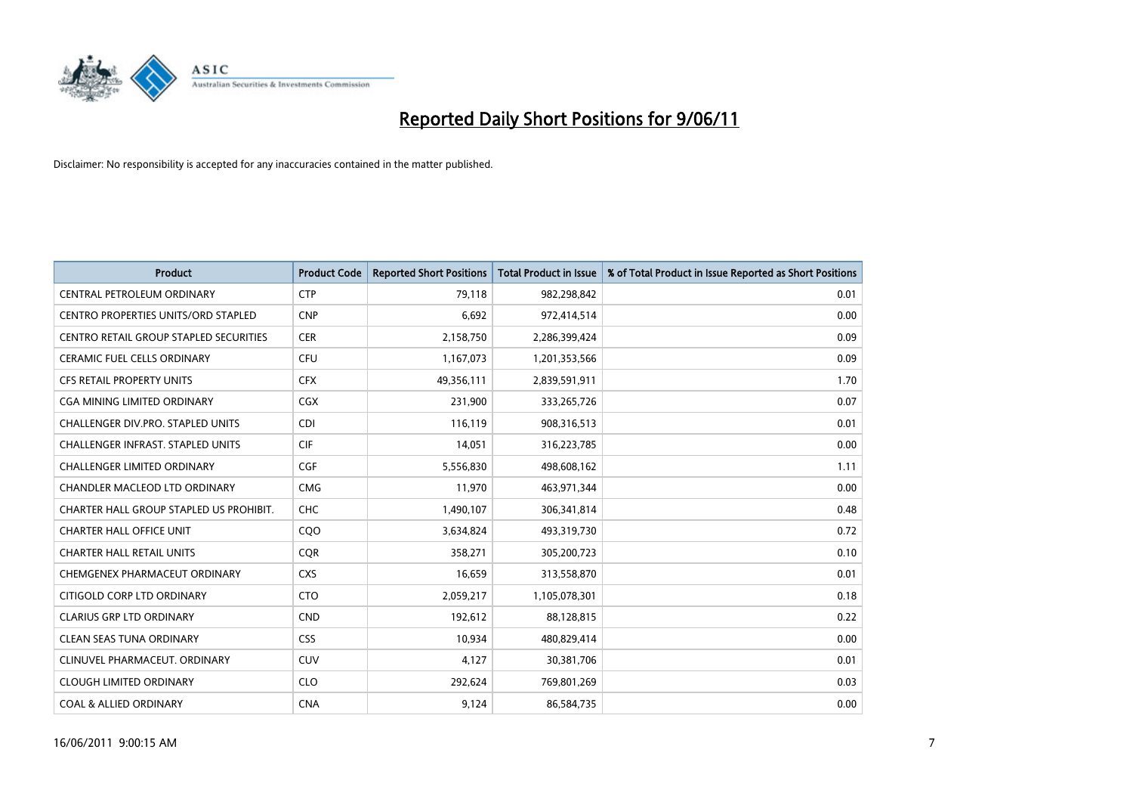

| <b>Product</b>                                | <b>Product Code</b> | <b>Reported Short Positions</b> | Total Product in Issue | % of Total Product in Issue Reported as Short Positions |
|-----------------------------------------------|---------------------|---------------------------------|------------------------|---------------------------------------------------------|
| CENTRAL PETROLEUM ORDINARY                    | <b>CTP</b>          | 79,118                          | 982,298,842            | 0.01                                                    |
| CENTRO PROPERTIES UNITS/ORD STAPLED           | <b>CNP</b>          | 6,692                           | 972,414,514            | 0.00                                                    |
| <b>CENTRO RETAIL GROUP STAPLED SECURITIES</b> | <b>CER</b>          | 2,158,750                       | 2,286,399,424          | 0.09                                                    |
| CERAMIC FUEL CELLS ORDINARY                   | <b>CFU</b>          | 1,167,073                       | 1,201,353,566          | 0.09                                                    |
| <b>CFS RETAIL PROPERTY UNITS</b>              | <b>CFX</b>          | 49,356,111                      | 2,839,591,911          | 1.70                                                    |
| <b>CGA MINING LIMITED ORDINARY</b>            | <b>CGX</b>          | 231,900                         | 333,265,726            | 0.07                                                    |
| <b>CHALLENGER DIV.PRO. STAPLED UNITS</b>      | <b>CDI</b>          | 116,119                         | 908,316,513            | 0.01                                                    |
| <b>CHALLENGER INFRAST, STAPLED UNITS</b>      | <b>CIF</b>          | 14,051                          | 316,223,785            | 0.00                                                    |
| <b>CHALLENGER LIMITED ORDINARY</b>            | CGF                 | 5,556,830                       | 498,608,162            | 1.11                                                    |
| <b>CHANDLER MACLEOD LTD ORDINARY</b>          | <b>CMG</b>          | 11,970                          | 463,971,344            | 0.00                                                    |
| CHARTER HALL GROUP STAPLED US PROHIBIT.       | <b>CHC</b>          | 1,490,107                       | 306,341,814            | 0.48                                                    |
| <b>CHARTER HALL OFFICE UNIT</b>               | CQO                 | 3,634,824                       | 493,319,730            | 0.72                                                    |
| <b>CHARTER HALL RETAIL UNITS</b>              | <b>COR</b>          | 358,271                         | 305,200,723            | 0.10                                                    |
| CHEMGENEX PHARMACEUT ORDINARY                 | <b>CXS</b>          | 16,659                          | 313,558,870            | 0.01                                                    |
| CITIGOLD CORP LTD ORDINARY                    | <b>CTO</b>          | 2,059,217                       | 1,105,078,301          | 0.18                                                    |
| <b>CLARIUS GRP LTD ORDINARY</b>               | <b>CND</b>          | 192,612                         | 88,128,815             | 0.22                                                    |
| CLEAN SEAS TUNA ORDINARY                      | <b>CSS</b>          | 10,934                          | 480,829,414            | 0.00                                                    |
| CLINUVEL PHARMACEUT. ORDINARY                 | <b>CUV</b>          | 4,127                           | 30,381,706             | 0.01                                                    |
| <b>CLOUGH LIMITED ORDINARY</b>                | <b>CLO</b>          | 292,624                         | 769,801,269            | 0.03                                                    |
| <b>COAL &amp; ALLIED ORDINARY</b>             | <b>CNA</b>          | 9,124                           | 86,584,735             | 0.00                                                    |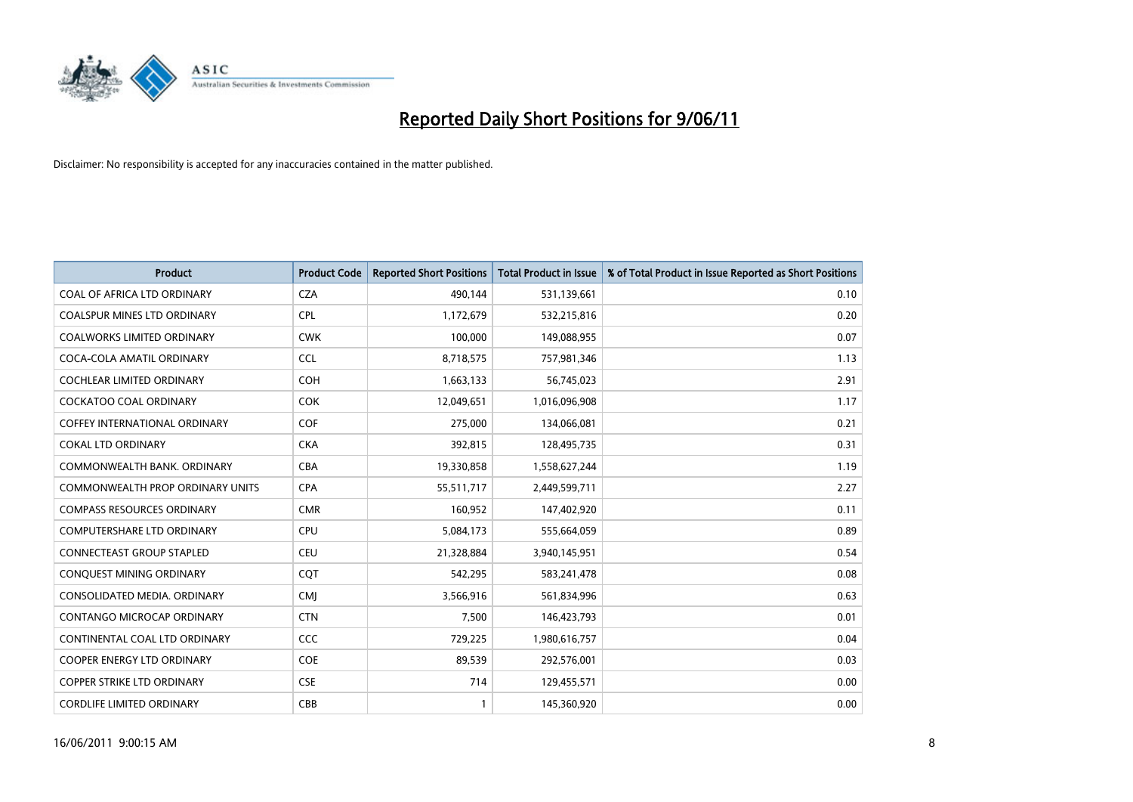

| <b>Product</b>                          | <b>Product Code</b> | <b>Reported Short Positions</b> | Total Product in Issue | % of Total Product in Issue Reported as Short Positions |
|-----------------------------------------|---------------------|---------------------------------|------------------------|---------------------------------------------------------|
| COAL OF AFRICA LTD ORDINARY             | <b>CZA</b>          | 490,144                         | 531,139,661            | 0.10                                                    |
| <b>COALSPUR MINES LTD ORDINARY</b>      | <b>CPL</b>          | 1,172,679                       | 532,215,816            | 0.20                                                    |
| <b>COALWORKS LIMITED ORDINARY</b>       | <b>CWK</b>          | 100,000                         | 149,088,955            | 0.07                                                    |
| COCA-COLA AMATIL ORDINARY               | <b>CCL</b>          | 8,718,575                       | 757,981,346            | 1.13                                                    |
| <b>COCHLEAR LIMITED ORDINARY</b>        | <b>COH</b>          | 1,663,133                       | 56,745,023             | 2.91                                                    |
| <b>COCKATOO COAL ORDINARY</b>           | <b>COK</b>          | 12,049,651                      | 1,016,096,908          | 1.17                                                    |
| <b>COFFEY INTERNATIONAL ORDINARY</b>    | <b>COF</b>          | 275.000                         | 134,066,081            | 0.21                                                    |
| <b>COKAL LTD ORDINARY</b>               | <b>CKA</b>          | 392,815                         | 128,495,735            | 0.31                                                    |
| COMMONWEALTH BANK, ORDINARY             | <b>CBA</b>          | 19,330,858                      | 1,558,627,244          | 1.19                                                    |
| <b>COMMONWEALTH PROP ORDINARY UNITS</b> | <b>CPA</b>          | 55,511,717                      | 2,449,599,711          | 2.27                                                    |
| <b>COMPASS RESOURCES ORDINARY</b>       | <b>CMR</b>          | 160,952                         | 147,402,920            | 0.11                                                    |
| <b>COMPUTERSHARE LTD ORDINARY</b>       | <b>CPU</b>          | 5,084,173                       | 555,664,059            | 0.89                                                    |
| <b>CONNECTEAST GROUP STAPLED</b>        | <b>CEU</b>          | 21,328,884                      | 3,940,145,951          | 0.54                                                    |
| CONQUEST MINING ORDINARY                | <b>COT</b>          | 542.295                         | 583,241,478            | 0.08                                                    |
| CONSOLIDATED MEDIA, ORDINARY            | <b>CMI</b>          | 3,566,916                       | 561,834,996            | 0.63                                                    |
| CONTANGO MICROCAP ORDINARY              | <b>CTN</b>          | 7,500                           | 146,423,793            | 0.01                                                    |
| CONTINENTAL COAL LTD ORDINARY           | CCC                 | 729,225                         | 1,980,616,757          | 0.04                                                    |
| COOPER ENERGY LTD ORDINARY              | <b>COE</b>          | 89,539                          | 292,576,001            | 0.03                                                    |
| <b>COPPER STRIKE LTD ORDINARY</b>       | <b>CSE</b>          | 714                             | 129,455,571            | 0.00                                                    |
| <b>CORDLIFE LIMITED ORDINARY</b>        | CBB                 |                                 | 145,360,920            | 0.00                                                    |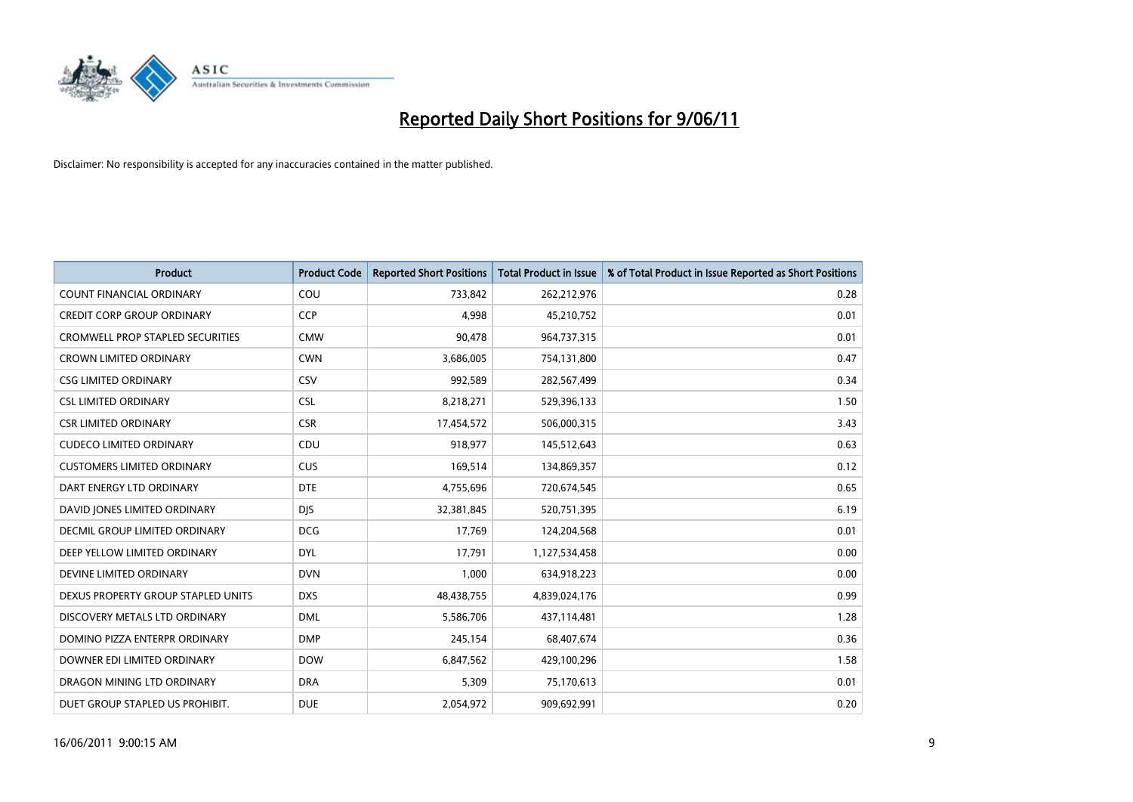

| <b>Product</b>                          | <b>Product Code</b> | <b>Reported Short Positions</b> | <b>Total Product in Issue</b> | % of Total Product in Issue Reported as Short Positions |
|-----------------------------------------|---------------------|---------------------------------|-------------------------------|---------------------------------------------------------|
| <b>COUNT FINANCIAL ORDINARY</b>         | COU                 | 733,842                         | 262,212,976                   | 0.28                                                    |
| <b>CREDIT CORP GROUP ORDINARY</b>       | <b>CCP</b>          | 4,998                           | 45,210,752                    | 0.01                                                    |
| <b>CROMWELL PROP STAPLED SECURITIES</b> | <b>CMW</b>          | 90,478                          | 964,737,315                   | 0.01                                                    |
| <b>CROWN LIMITED ORDINARY</b>           | <b>CWN</b>          | 3,686,005                       | 754,131,800                   | 0.47                                                    |
| <b>CSG LIMITED ORDINARY</b>             | CSV                 | 992,589                         | 282,567,499                   | 0.34                                                    |
| <b>CSL LIMITED ORDINARY</b>             | <b>CSL</b>          | 8,218,271                       | 529,396,133                   | 1.50                                                    |
| <b>CSR LIMITED ORDINARY</b>             | <b>CSR</b>          | 17,454,572                      | 506,000,315                   | 3.43                                                    |
| <b>CUDECO LIMITED ORDINARY</b>          | CDU                 | 918,977                         | 145,512,643                   | 0.63                                                    |
| <b>CUSTOMERS LIMITED ORDINARY</b>       | CUS                 | 169,514                         | 134,869,357                   | 0.12                                                    |
| DART ENERGY LTD ORDINARY                | <b>DTE</b>          | 4,755,696                       | 720,674,545                   | 0.65                                                    |
| DAVID JONES LIMITED ORDINARY            | <b>DIS</b>          | 32,381,845                      | 520,751,395                   | 6.19                                                    |
| DECMIL GROUP LIMITED ORDINARY           | <b>DCG</b>          | 17,769                          | 124,204,568                   | 0.01                                                    |
| DEEP YELLOW LIMITED ORDINARY            | <b>DYL</b>          | 17,791                          | 1,127,534,458                 | 0.00                                                    |
| DEVINE LIMITED ORDINARY                 | <b>DVN</b>          | 1,000                           | 634,918,223                   | 0.00                                                    |
| DEXUS PROPERTY GROUP STAPLED UNITS      | <b>DXS</b>          | 48,438,755                      | 4,839,024,176                 | 0.99                                                    |
| DISCOVERY METALS LTD ORDINARY           | <b>DML</b>          | 5,586,706                       | 437,114,481                   | 1.28                                                    |
| DOMINO PIZZA ENTERPR ORDINARY           | <b>DMP</b>          | 245,154                         | 68,407,674                    | 0.36                                                    |
| DOWNER EDI LIMITED ORDINARY             | <b>DOW</b>          | 6,847,562                       | 429,100,296                   | 1.58                                                    |
| DRAGON MINING LTD ORDINARY              | <b>DRA</b>          | 5,309                           | 75,170,613                    | 0.01                                                    |
| DUET GROUP STAPLED US PROHIBIT.         | <b>DUE</b>          | 2,054,972                       | 909,692,991                   | 0.20                                                    |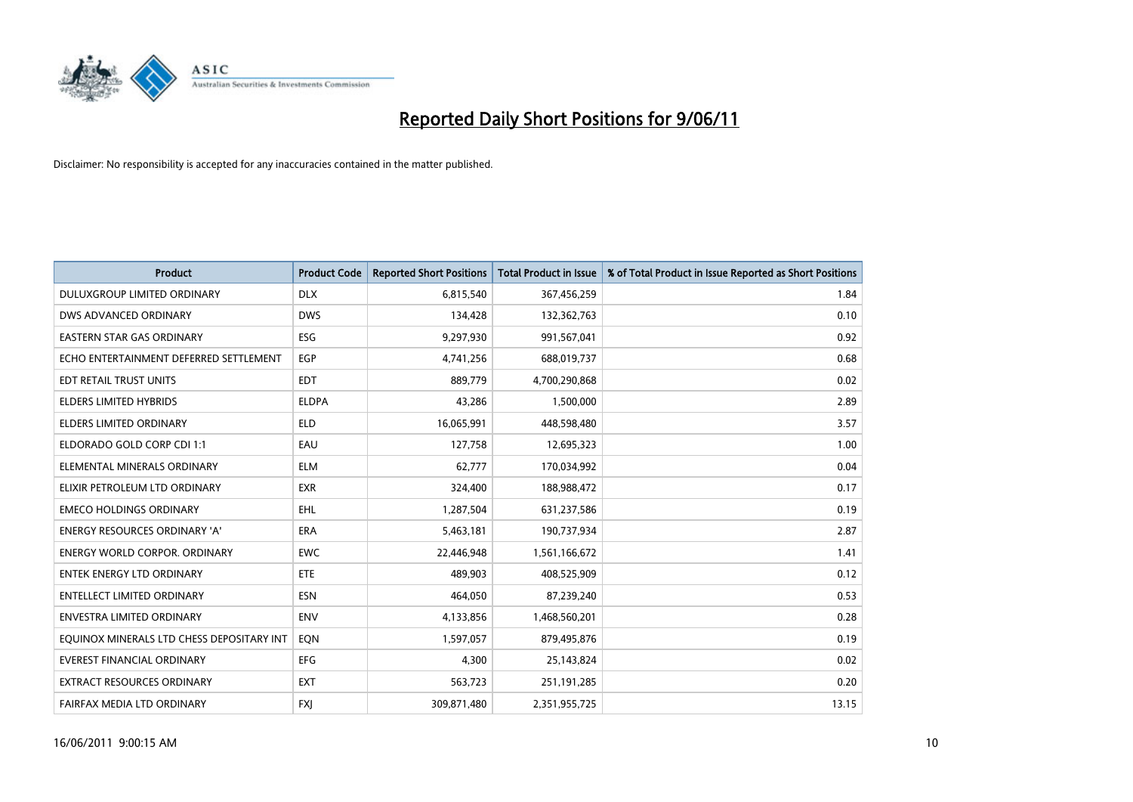

| <b>Product</b>                            | <b>Product Code</b> | <b>Reported Short Positions</b> | <b>Total Product in Issue</b> | % of Total Product in Issue Reported as Short Positions |
|-------------------------------------------|---------------------|---------------------------------|-------------------------------|---------------------------------------------------------|
| DULUXGROUP LIMITED ORDINARY               | <b>DLX</b>          | 6,815,540                       | 367,456,259                   | 1.84                                                    |
| DWS ADVANCED ORDINARY                     | <b>DWS</b>          | 134,428                         | 132,362,763                   | 0.10                                                    |
| <b>EASTERN STAR GAS ORDINARY</b>          | ESG                 | 9,297,930                       | 991,567,041                   | 0.92                                                    |
| ECHO ENTERTAINMENT DEFERRED SETTLEMENT    | EGP                 | 4,741,256                       | 688,019,737                   | 0.68                                                    |
| EDT RETAIL TRUST UNITS                    | <b>EDT</b>          | 889.779                         | 4,700,290,868                 | 0.02                                                    |
| <b>ELDERS LIMITED HYBRIDS</b>             | <b>ELDPA</b>        | 43,286                          | 1,500,000                     | 2.89                                                    |
| <b>ELDERS LIMITED ORDINARY</b>            | <b>ELD</b>          | 16,065,991                      | 448,598,480                   | 3.57                                                    |
| ELDORADO GOLD CORP CDI 1:1                | EAU                 | 127,758                         | 12,695,323                    | 1.00                                                    |
| ELEMENTAL MINERALS ORDINARY               | <b>ELM</b>          | 62,777                          | 170,034,992                   | 0.04                                                    |
| ELIXIR PETROLEUM LTD ORDINARY             | <b>EXR</b>          | 324,400                         | 188,988,472                   | 0.17                                                    |
| <b>EMECO HOLDINGS ORDINARY</b>            | <b>EHL</b>          | 1,287,504                       | 631,237,586                   | 0.19                                                    |
| <b>ENERGY RESOURCES ORDINARY 'A'</b>      | <b>ERA</b>          | 5,463,181                       | 190,737,934                   | 2.87                                                    |
| <b>ENERGY WORLD CORPOR, ORDINARY</b>      | <b>EWC</b>          | 22,446,948                      | 1,561,166,672                 | 1.41                                                    |
| <b>ENTEK ENERGY LTD ORDINARY</b>          | ETE                 | 489.903                         | 408,525,909                   | 0.12                                                    |
| ENTELLECT LIMITED ORDINARY                | <b>ESN</b>          | 464,050                         | 87,239,240                    | 0.53                                                    |
| <b>ENVESTRA LIMITED ORDINARY</b>          | <b>ENV</b>          | 4,133,856                       | 1,468,560,201                 | 0.28                                                    |
| EQUINOX MINERALS LTD CHESS DEPOSITARY INT | EON                 | 1,597,057                       | 879,495,876                   | 0.19                                                    |
| EVEREST FINANCIAL ORDINARY                | <b>EFG</b>          | 4,300                           | 25,143,824                    | 0.02                                                    |
| <b>EXTRACT RESOURCES ORDINARY</b>         | <b>EXT</b>          | 563,723                         | 251,191,285                   | 0.20                                                    |
| FAIRFAX MEDIA LTD ORDINARY                | <b>FXI</b>          | 309,871,480                     | 2,351,955,725                 | 13.15                                                   |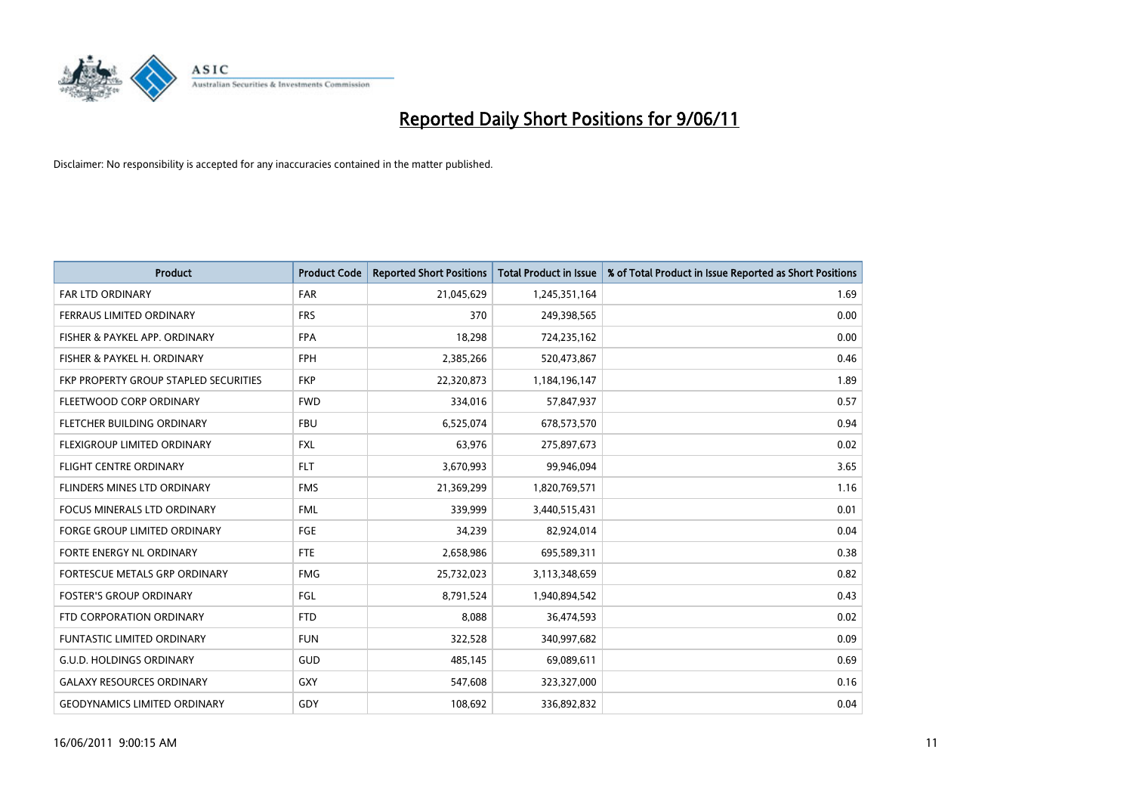

| <b>Product</b>                        | <b>Product Code</b> | <b>Reported Short Positions</b> | Total Product in Issue | % of Total Product in Issue Reported as Short Positions |
|---------------------------------------|---------------------|---------------------------------|------------------------|---------------------------------------------------------|
| <b>FAR LTD ORDINARY</b>               | <b>FAR</b>          | 21,045,629                      | 1,245,351,164          | 1.69                                                    |
| FERRAUS LIMITED ORDINARY              | <b>FRS</b>          | 370                             | 249,398,565            | 0.00                                                    |
| FISHER & PAYKEL APP. ORDINARY         | <b>FPA</b>          | 18,298                          | 724,235,162            | 0.00                                                    |
| FISHER & PAYKEL H. ORDINARY           | <b>FPH</b>          | 2,385,266                       | 520,473,867            | 0.46                                                    |
| FKP PROPERTY GROUP STAPLED SECURITIES | <b>FKP</b>          | 22,320,873                      | 1,184,196,147          | 1.89                                                    |
| FLEETWOOD CORP ORDINARY               | <b>FWD</b>          | 334,016                         | 57,847,937             | 0.57                                                    |
| FLETCHER BUILDING ORDINARY            | <b>FBU</b>          | 6,525,074                       | 678,573,570            | 0.94                                                    |
| FLEXIGROUP LIMITED ORDINARY           | <b>FXL</b>          | 63,976                          | 275,897,673            | 0.02                                                    |
| FLIGHT CENTRE ORDINARY                | <b>FLT</b>          | 3,670,993                       | 99,946,094             | 3.65                                                    |
| FLINDERS MINES LTD ORDINARY           | <b>FMS</b>          | 21,369,299                      | 1,820,769,571          | 1.16                                                    |
| <b>FOCUS MINERALS LTD ORDINARY</b>    | <b>FML</b>          | 339,999                         | 3,440,515,431          | 0.01                                                    |
| <b>FORGE GROUP LIMITED ORDINARY</b>   | <b>FGE</b>          | 34,239                          | 82,924,014             | 0.04                                                    |
| <b>FORTE ENERGY NL ORDINARY</b>       | <b>FTE</b>          | 2,658,986                       | 695,589,311            | 0.38                                                    |
| FORTESCUE METALS GRP ORDINARY         | <b>FMG</b>          | 25,732,023                      | 3,113,348,659          | 0.82                                                    |
| <b>FOSTER'S GROUP ORDINARY</b>        | <b>FGL</b>          | 8,791,524                       | 1,940,894,542          | 0.43                                                    |
| FTD CORPORATION ORDINARY              | <b>FTD</b>          | 8,088                           | 36,474,593             | 0.02                                                    |
| <b>FUNTASTIC LIMITED ORDINARY</b>     | <b>FUN</b>          | 322,528                         | 340,997,682            | 0.09                                                    |
| <b>G.U.D. HOLDINGS ORDINARY</b>       | GUD                 | 485,145                         | 69,089,611             | 0.69                                                    |
| <b>GALAXY RESOURCES ORDINARY</b>      | <b>GXY</b>          | 547,608                         | 323,327,000            | 0.16                                                    |
| <b>GEODYNAMICS LIMITED ORDINARY</b>   | GDY                 | 108.692                         | 336,892,832            | 0.04                                                    |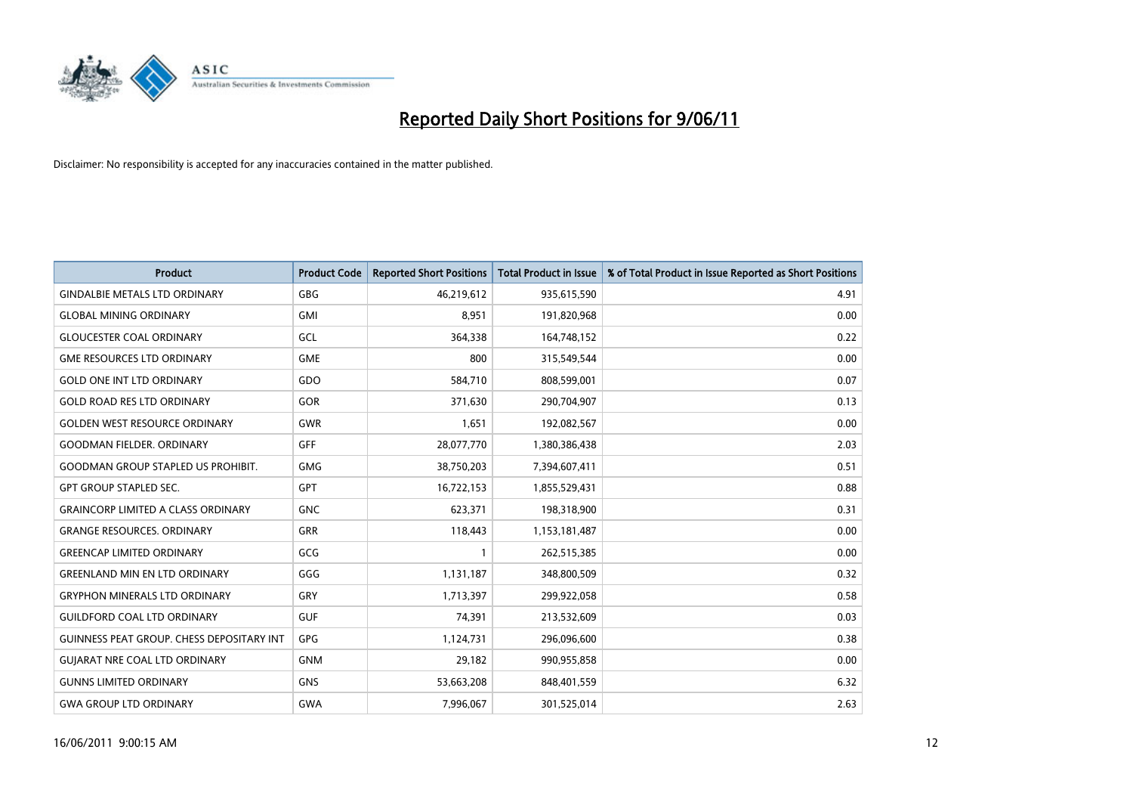

| <b>Product</b>                            | <b>Product Code</b> | <b>Reported Short Positions</b> | Total Product in Issue | % of Total Product in Issue Reported as Short Positions |
|-------------------------------------------|---------------------|---------------------------------|------------------------|---------------------------------------------------------|
| <b>GINDALBIE METALS LTD ORDINARY</b>      | <b>GBG</b>          | 46,219,612                      | 935,615,590            | 4.91                                                    |
| <b>GLOBAL MINING ORDINARY</b>             | <b>GMI</b>          | 8,951                           | 191,820,968            | 0.00                                                    |
| <b>GLOUCESTER COAL ORDINARY</b>           | GCL                 | 364,338                         | 164,748,152            | 0.22                                                    |
| <b>GME RESOURCES LTD ORDINARY</b>         | <b>GME</b>          | 800                             | 315,549,544            | 0.00                                                    |
| <b>GOLD ONE INT LTD ORDINARY</b>          | GDO                 | 584,710                         | 808,599,001            | 0.07                                                    |
| <b>GOLD ROAD RES LTD ORDINARY</b>         | GOR                 | 371,630                         | 290,704,907            | 0.13                                                    |
| <b>GOLDEN WEST RESOURCE ORDINARY</b>      | <b>GWR</b>          | 1,651                           | 192,082,567            | 0.00                                                    |
| <b>GOODMAN FIELDER. ORDINARY</b>          | <b>GFF</b>          | 28,077,770                      | 1,380,386,438          | 2.03                                                    |
| <b>GOODMAN GROUP STAPLED US PROHIBIT.</b> | <b>GMG</b>          | 38,750,203                      | 7,394,607,411          | 0.51                                                    |
| <b>GPT GROUP STAPLED SEC.</b>             | <b>GPT</b>          | 16,722,153                      | 1,855,529,431          | 0.88                                                    |
| <b>GRAINCORP LIMITED A CLASS ORDINARY</b> | <b>GNC</b>          | 623,371                         | 198,318,900            | 0.31                                                    |
| <b>GRANGE RESOURCES. ORDINARY</b>         | <b>GRR</b>          | 118,443                         | 1,153,181,487          | 0.00                                                    |
| <b>GREENCAP LIMITED ORDINARY</b>          | GCG                 |                                 | 262,515,385            | 0.00                                                    |
| <b>GREENLAND MIN EN LTD ORDINARY</b>      | GGG                 | 1,131,187                       | 348,800,509            | 0.32                                                    |
| <b>GRYPHON MINERALS LTD ORDINARY</b>      | GRY                 | 1,713,397                       | 299,922,058            | 0.58                                                    |
| <b>GUILDFORD COAL LTD ORDINARY</b>        | <b>GUF</b>          | 74,391                          | 213,532,609            | 0.03                                                    |
| GUINNESS PEAT GROUP. CHESS DEPOSITARY INT | GPG                 | 1,124,731                       | 296,096,600            | 0.38                                                    |
| <b>GUIARAT NRE COAL LTD ORDINARY</b>      | <b>GNM</b>          | 29,182                          | 990,955,858            | 0.00                                                    |
| <b>GUNNS LIMITED ORDINARY</b>             | <b>GNS</b>          | 53,663,208                      | 848,401,559            | 6.32                                                    |
| <b>GWA GROUP LTD ORDINARY</b>             | <b>GWA</b>          | 7,996,067                       | 301,525,014            | 2.63                                                    |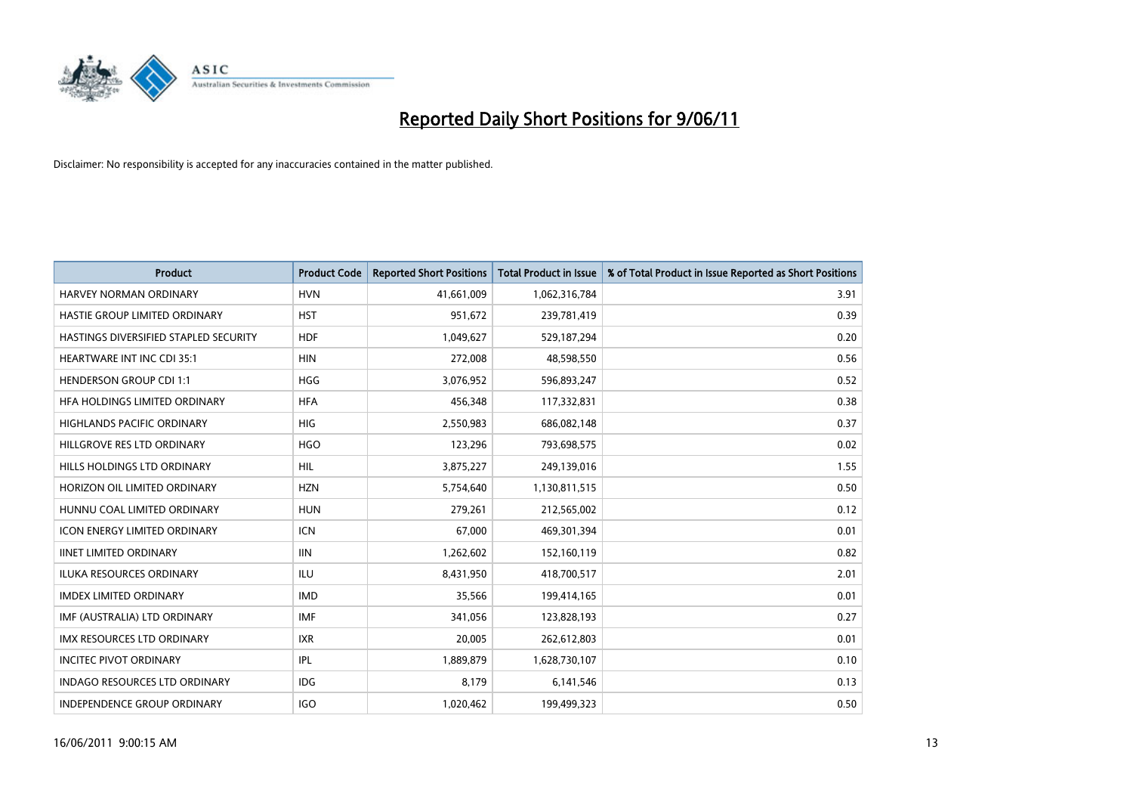

| <b>Product</b>                        | <b>Product Code</b> | <b>Reported Short Positions</b> | <b>Total Product in Issue</b> | % of Total Product in Issue Reported as Short Positions |
|---------------------------------------|---------------------|---------------------------------|-------------------------------|---------------------------------------------------------|
| <b>HARVEY NORMAN ORDINARY</b>         | <b>HVN</b>          | 41,661,009                      | 1,062,316,784                 | 3.91                                                    |
| HASTIE GROUP LIMITED ORDINARY         | <b>HST</b>          | 951,672                         | 239,781,419                   | 0.39                                                    |
| HASTINGS DIVERSIFIED STAPLED SECURITY | <b>HDF</b>          | 1,049,627                       | 529,187,294                   | 0.20                                                    |
| HEARTWARE INT INC CDI 35:1            | <b>HIN</b>          | 272,008                         | 48,598,550                    | 0.56                                                    |
| <b>HENDERSON GROUP CDI 1:1</b>        | <b>HGG</b>          | 3,076,952                       | 596,893,247                   | 0.52                                                    |
| HFA HOLDINGS LIMITED ORDINARY         | <b>HFA</b>          | 456,348                         | 117,332,831                   | 0.38                                                    |
| <b>HIGHLANDS PACIFIC ORDINARY</b>     | <b>HIG</b>          | 2,550,983                       | 686,082,148                   | 0.37                                                    |
| HILLGROVE RES LTD ORDINARY            | <b>HGO</b>          | 123,296                         | 793,698,575                   | 0.02                                                    |
| HILLS HOLDINGS LTD ORDINARY           | <b>HIL</b>          | 3,875,227                       | 249,139,016                   | 1.55                                                    |
| HORIZON OIL LIMITED ORDINARY          | <b>HZN</b>          | 5,754,640                       | 1,130,811,515                 | 0.50                                                    |
| HUNNU COAL LIMITED ORDINARY           | <b>HUN</b>          | 279,261                         | 212,565,002                   | 0.12                                                    |
| <b>ICON ENERGY LIMITED ORDINARY</b>   | <b>ICN</b>          | 67,000                          | 469,301,394                   | 0.01                                                    |
| <b>IINET LIMITED ORDINARY</b>         | <b>IIN</b>          | 1,262,602                       | 152,160,119                   | 0.82                                                    |
| <b>ILUKA RESOURCES ORDINARY</b>       | <b>ILU</b>          | 8,431,950                       | 418,700,517                   | 2.01                                                    |
| <b>IMDEX LIMITED ORDINARY</b>         | <b>IMD</b>          | 35,566                          | 199,414,165                   | 0.01                                                    |
| IMF (AUSTRALIA) LTD ORDINARY          | <b>IMF</b>          | 341,056                         | 123,828,193                   | 0.27                                                    |
| <b>IMX RESOURCES LTD ORDINARY</b>     | <b>IXR</b>          | 20,005                          | 262,612,803                   | 0.01                                                    |
| <b>INCITEC PIVOT ORDINARY</b>         | <b>IPL</b>          | 1,889,879                       | 1,628,730,107                 | 0.10                                                    |
| <b>INDAGO RESOURCES LTD ORDINARY</b>  | <b>IDG</b>          | 8,179                           | 6,141,546                     | 0.13                                                    |
| INDEPENDENCE GROUP ORDINARY           | <b>IGO</b>          | 1,020,462                       | 199,499,323                   | 0.50                                                    |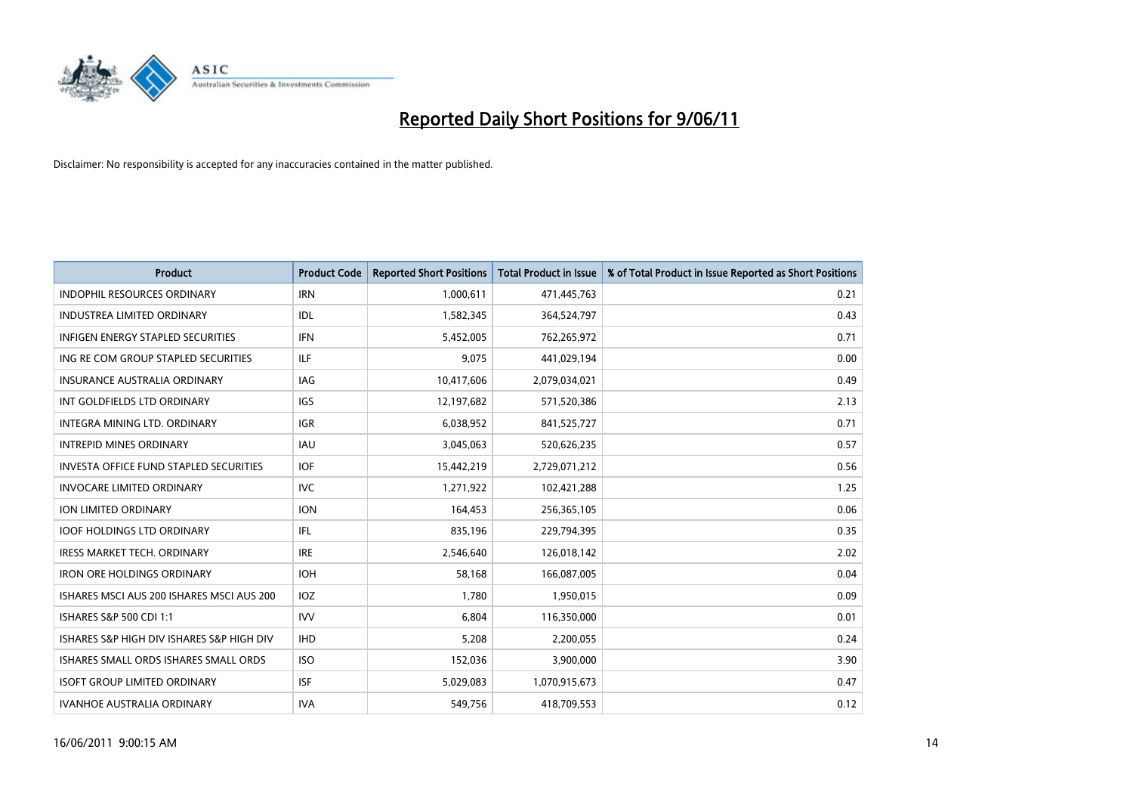

| <b>Product</b>                            | <b>Product Code</b> | <b>Reported Short Positions</b> | Total Product in Issue | % of Total Product in Issue Reported as Short Positions |
|-------------------------------------------|---------------------|---------------------------------|------------------------|---------------------------------------------------------|
| <b>INDOPHIL RESOURCES ORDINARY</b>        | <b>IRN</b>          | 1,000,611                       | 471,445,763            | 0.21                                                    |
| <b>INDUSTREA LIMITED ORDINARY</b>         | IDL                 | 1,582,345                       | 364,524,797            | 0.43                                                    |
| <b>INFIGEN ENERGY STAPLED SECURITIES</b>  | <b>IFN</b>          | 5,452,005                       | 762,265,972            | 0.71                                                    |
| ING RE COM GROUP STAPLED SECURITIES       | <b>ILF</b>          | 9,075                           | 441,029,194            | 0.00                                                    |
| <b>INSURANCE AUSTRALIA ORDINARY</b>       | IAG                 | 10,417,606                      | 2,079,034,021          | 0.49                                                    |
| INT GOLDFIELDS LTD ORDINARY               | <b>IGS</b>          | 12,197,682                      | 571,520,386            | 2.13                                                    |
| <b>INTEGRA MINING LTD, ORDINARY</b>       | <b>IGR</b>          | 6,038,952                       | 841,525,727            | 0.71                                                    |
| <b>INTREPID MINES ORDINARY</b>            | <b>IAU</b>          | 3,045,063                       | 520,626,235            | 0.57                                                    |
| INVESTA OFFICE FUND STAPLED SECURITIES    | <b>IOF</b>          | 15,442,219                      | 2,729,071,212          | 0.56                                                    |
| <b>INVOCARE LIMITED ORDINARY</b>          | <b>IVC</b>          | 1,271,922                       | 102,421,288            | 1.25                                                    |
| ION LIMITED ORDINARY                      | <b>ION</b>          | 164,453                         | 256,365,105            | 0.06                                                    |
| <b>IOOF HOLDINGS LTD ORDINARY</b>         | <b>IFL</b>          | 835,196                         | 229,794,395            | 0.35                                                    |
| <b>IRESS MARKET TECH. ORDINARY</b>        | <b>IRE</b>          | 2.546.640                       | 126,018,142            | 2.02                                                    |
| <b>IRON ORE HOLDINGS ORDINARY</b>         | <b>IOH</b>          | 58,168                          | 166,087,005            | 0.04                                                    |
| ISHARES MSCI AUS 200 ISHARES MSCI AUS 200 | <b>IOZ</b>          | 1,780                           | 1,950,015              | 0.09                                                    |
| ISHARES S&P 500 CDI 1:1                   | <b>IVV</b>          | 6.804                           | 116,350,000            | 0.01                                                    |
| ISHARES S&P HIGH DIV ISHARES S&P HIGH DIV | <b>IHD</b>          | 5,208                           | 2,200,055              | 0.24                                                    |
| ISHARES SMALL ORDS ISHARES SMALL ORDS     | <b>ISO</b>          | 152,036                         | 3,900,000              | 3.90                                                    |
| <b>ISOFT GROUP LIMITED ORDINARY</b>       | <b>ISF</b>          | 5,029,083                       | 1,070,915,673          | 0.47                                                    |
| <b>IVANHOE AUSTRALIA ORDINARY</b>         | <b>IVA</b>          | 549,756                         | 418,709,553            | 0.12                                                    |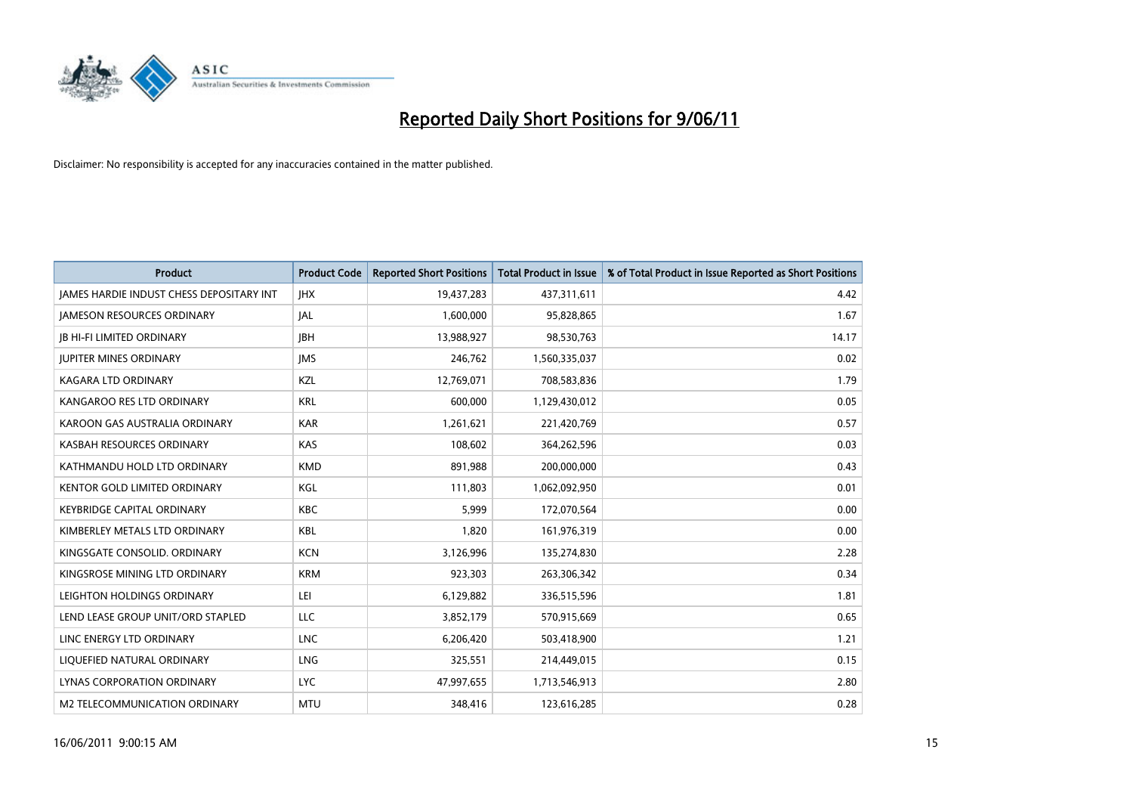

| <b>Product</b>                                  | <b>Product Code</b> | <b>Reported Short Positions</b> | Total Product in Issue | % of Total Product in Issue Reported as Short Positions |
|-------------------------------------------------|---------------------|---------------------------------|------------------------|---------------------------------------------------------|
| <b>JAMES HARDIE INDUST CHESS DEPOSITARY INT</b> | <b>JHX</b>          | 19,437,283                      | 437,311,611            | 4.42                                                    |
| <b>JAMESON RESOURCES ORDINARY</b>               | <b>JAL</b>          | 1,600,000                       | 95,828,865             | 1.67                                                    |
| <b>JB HI-FI LIMITED ORDINARY</b>                | <b>IBH</b>          | 13,988,927                      | 98,530,763             | 14.17                                                   |
| <b>JUPITER MINES ORDINARY</b>                   | <b>IMS</b>          | 246,762                         | 1,560,335,037          | 0.02                                                    |
| <b>KAGARA LTD ORDINARY</b>                      | KZL                 | 12,769,071                      | 708,583,836            | 1.79                                                    |
| KANGAROO RES LTD ORDINARY                       | <b>KRL</b>          | 600,000                         | 1,129,430,012          | 0.05                                                    |
| KAROON GAS AUSTRALIA ORDINARY                   | <b>KAR</b>          | 1,261,621                       | 221,420,769            | 0.57                                                    |
| KASBAH RESOURCES ORDINARY                       | KAS                 | 108,602                         | 364,262,596            | 0.03                                                    |
| KATHMANDU HOLD LTD ORDINARY                     | <b>KMD</b>          | 891,988                         | 200,000,000            | 0.43                                                    |
| <b>KENTOR GOLD LIMITED ORDINARY</b>             | KGL                 | 111,803                         | 1,062,092,950          | 0.01                                                    |
| <b>KEYBRIDGE CAPITAL ORDINARY</b>               | <b>KBC</b>          | 5,999                           | 172,070,564            | 0.00                                                    |
| KIMBERLEY METALS LTD ORDINARY                   | <b>KBL</b>          | 1,820                           | 161,976,319            | 0.00                                                    |
| KINGSGATE CONSOLID. ORDINARY                    | <b>KCN</b>          | 3,126,996                       | 135,274,830            | 2.28                                                    |
| KINGSROSE MINING LTD ORDINARY                   | <b>KRM</b>          | 923.303                         | 263,306,342            | 0.34                                                    |
| LEIGHTON HOLDINGS ORDINARY                      | LEI                 | 6,129,882                       | 336,515,596            | 1.81                                                    |
| LEND LEASE GROUP UNIT/ORD STAPLED               | LLC                 | 3,852,179                       | 570,915,669            | 0.65                                                    |
| LINC ENERGY LTD ORDINARY                        | <b>LNC</b>          | 6,206,420                       | 503,418,900            | 1.21                                                    |
| LIQUEFIED NATURAL ORDINARY                      | LNG                 | 325,551                         | 214,449,015            | 0.15                                                    |
| LYNAS CORPORATION ORDINARY                      | <b>LYC</b>          | 47,997,655                      | 1,713,546,913          | 2.80                                                    |
| M2 TELECOMMUNICATION ORDINARY                   | <b>MTU</b>          | 348.416                         | 123,616,285            | 0.28                                                    |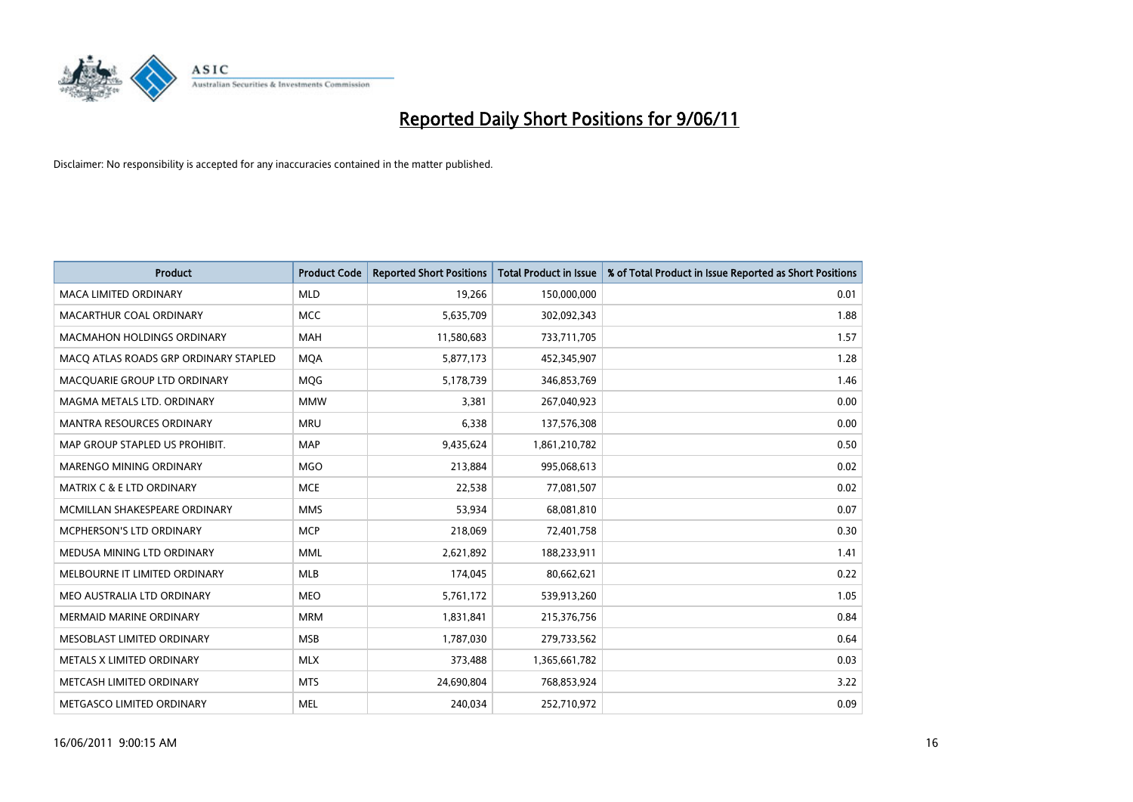

| <b>Product</b>                        | <b>Product Code</b> | <b>Reported Short Positions</b> | <b>Total Product in Issue</b> | % of Total Product in Issue Reported as Short Positions |
|---------------------------------------|---------------------|---------------------------------|-------------------------------|---------------------------------------------------------|
| <b>MACA LIMITED ORDINARY</b>          | <b>MLD</b>          | 19,266                          | 150,000,000                   | 0.01                                                    |
| MACARTHUR COAL ORDINARY               | <b>MCC</b>          | 5,635,709                       | 302,092,343                   | 1.88                                                    |
| <b>MACMAHON HOLDINGS ORDINARY</b>     | <b>MAH</b>          | 11,580,683                      | 733,711,705                   | 1.57                                                    |
| MACO ATLAS ROADS GRP ORDINARY STAPLED | <b>MOA</b>          | 5,877,173                       | 452,345,907                   | 1.28                                                    |
| MACQUARIE GROUP LTD ORDINARY          | MQG                 | 5,178,739                       | 346,853,769                   | 1.46                                                    |
| MAGMA METALS LTD. ORDINARY            | <b>MMW</b>          | 3,381                           | 267,040,923                   | 0.00                                                    |
| <b>MANTRA RESOURCES ORDINARY</b>      | <b>MRU</b>          | 6,338                           | 137,576,308                   | 0.00                                                    |
| MAP GROUP STAPLED US PROHIBIT.        | <b>MAP</b>          | 9,435,624                       | 1,861,210,782                 | 0.50                                                    |
| MARENGO MINING ORDINARY               | <b>MGO</b>          | 213,884                         | 995,068,613                   | 0.02                                                    |
| <b>MATRIX C &amp; E LTD ORDINARY</b>  | <b>MCE</b>          | 22,538                          | 77,081,507                    | 0.02                                                    |
| MCMILLAN SHAKESPEARE ORDINARY         | <b>MMS</b>          | 53,934                          | 68,081,810                    | 0.07                                                    |
| <b>MCPHERSON'S LTD ORDINARY</b>       | <b>MCP</b>          | 218,069                         | 72,401,758                    | 0.30                                                    |
| MEDUSA MINING LTD ORDINARY            | <b>MML</b>          | 2,621,892                       | 188,233,911                   | 1.41                                                    |
| MELBOURNE IT LIMITED ORDINARY         | <b>MLB</b>          | 174,045                         | 80,662,621                    | 0.22                                                    |
| MEO AUSTRALIA LTD ORDINARY            | <b>MEO</b>          | 5,761,172                       | 539,913,260                   | 1.05                                                    |
| <b>MERMAID MARINE ORDINARY</b>        | <b>MRM</b>          | 1,831,841                       | 215,376,756                   | 0.84                                                    |
| MESOBLAST LIMITED ORDINARY            | <b>MSB</b>          | 1,787,030                       | 279,733,562                   | 0.64                                                    |
| METALS X LIMITED ORDINARY             | <b>MLX</b>          | 373,488                         | 1,365,661,782                 | 0.03                                                    |
| METCASH LIMITED ORDINARY              | <b>MTS</b>          | 24,690,804                      | 768,853,924                   | 3.22                                                    |
| METGASCO LIMITED ORDINARY             | <b>MEL</b>          | 240,034                         | 252,710,972                   | 0.09                                                    |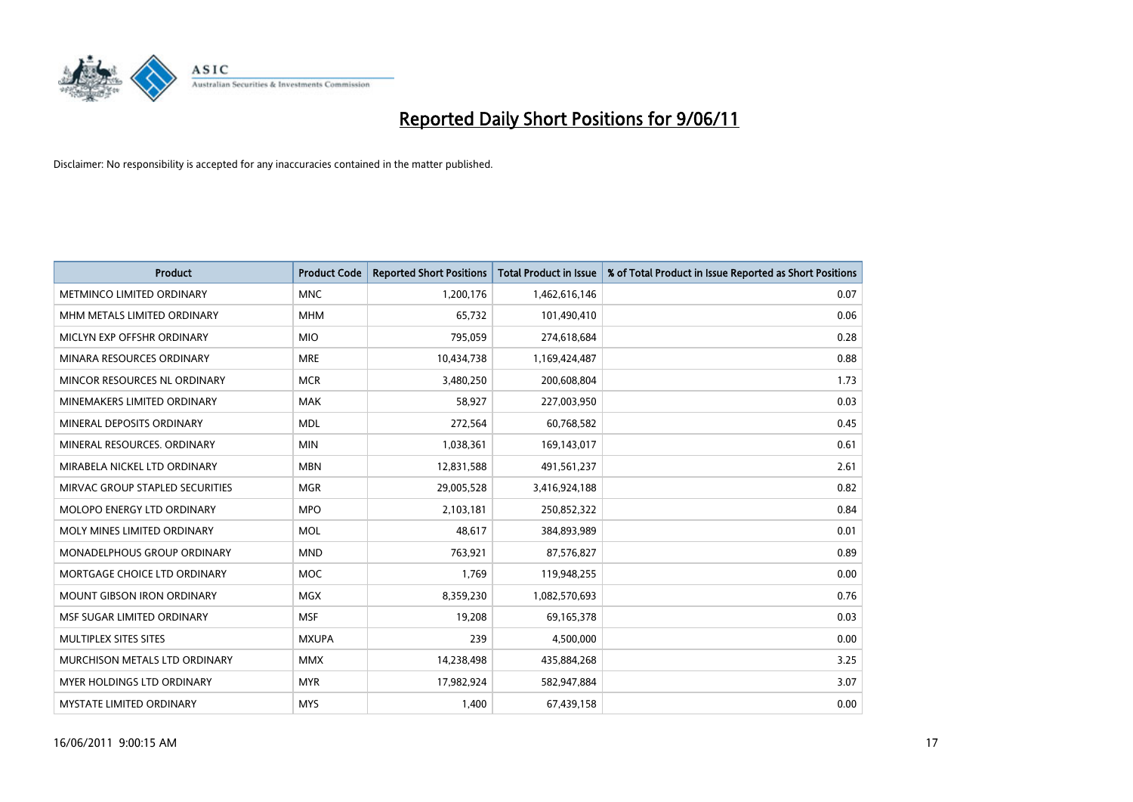

| <b>Product</b>                     | <b>Product Code</b> | <b>Reported Short Positions</b> | <b>Total Product in Issue</b> | % of Total Product in Issue Reported as Short Positions |
|------------------------------------|---------------------|---------------------------------|-------------------------------|---------------------------------------------------------|
| METMINCO LIMITED ORDINARY          | <b>MNC</b>          | 1,200,176                       | 1,462,616,146                 | 0.07                                                    |
| MHM METALS LIMITED ORDINARY        | <b>MHM</b>          | 65,732                          | 101,490,410                   | 0.06                                                    |
| MICLYN EXP OFFSHR ORDINARY         | <b>MIO</b>          | 795,059                         | 274,618,684                   | 0.28                                                    |
| MINARA RESOURCES ORDINARY          | <b>MRE</b>          | 10,434,738                      | 1,169,424,487                 | 0.88                                                    |
| MINCOR RESOURCES NL ORDINARY       | <b>MCR</b>          | 3,480,250                       | 200,608,804                   | 1.73                                                    |
| MINEMAKERS LIMITED ORDINARY        | <b>MAK</b>          | 58,927                          | 227,003,950                   | 0.03                                                    |
| MINERAL DEPOSITS ORDINARY          | <b>MDL</b>          | 272,564                         | 60,768,582                    | 0.45                                                    |
| MINERAL RESOURCES. ORDINARY        | <b>MIN</b>          | 1,038,361                       | 169,143,017                   | 0.61                                                    |
| MIRABELA NICKEL LTD ORDINARY       | <b>MBN</b>          | 12,831,588                      | 491,561,237                   | 2.61                                                    |
| MIRVAC GROUP STAPLED SECURITIES    | <b>MGR</b>          | 29,005,528                      | 3,416,924,188                 | 0.82                                                    |
| <b>MOLOPO ENERGY LTD ORDINARY</b>  | <b>MPO</b>          | 2,103,181                       | 250,852,322                   | 0.84                                                    |
| MOLY MINES LIMITED ORDINARY        | <b>MOL</b>          | 48,617                          | 384,893,989                   | 0.01                                                    |
| <b>MONADELPHOUS GROUP ORDINARY</b> | <b>MND</b>          | 763,921                         | 87,576,827                    | 0.89                                                    |
| MORTGAGE CHOICE LTD ORDINARY       | <b>MOC</b>          | 1,769                           | 119,948,255                   | 0.00                                                    |
| <b>MOUNT GIBSON IRON ORDINARY</b>  | <b>MGX</b>          | 8,359,230                       | 1,082,570,693                 | 0.76                                                    |
| MSF SUGAR LIMITED ORDINARY         | <b>MSF</b>          | 19,208                          | 69,165,378                    | 0.03                                                    |
| MULTIPLEX SITES SITES              | <b>MXUPA</b>        | 239                             | 4,500,000                     | 0.00                                                    |
| MURCHISON METALS LTD ORDINARY      | <b>MMX</b>          | 14,238,498                      | 435,884,268                   | 3.25                                                    |
| MYER HOLDINGS LTD ORDINARY         | <b>MYR</b>          | 17,982,924                      | 582,947,884                   | 3.07                                                    |
| <b>MYSTATE LIMITED ORDINARY</b>    | <b>MYS</b>          | 1,400                           | 67,439,158                    | 0.00                                                    |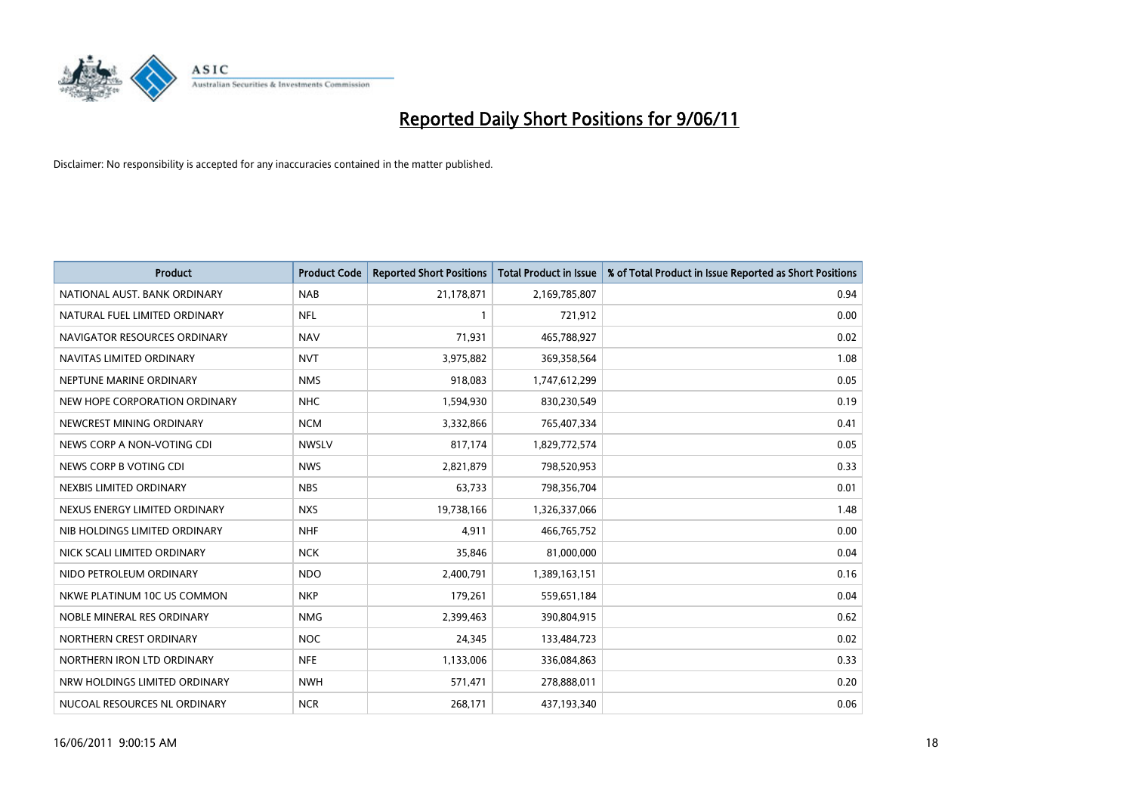

| <b>Product</b>                | <b>Product Code</b> | <b>Reported Short Positions</b> | <b>Total Product in Issue</b> | % of Total Product in Issue Reported as Short Positions |
|-------------------------------|---------------------|---------------------------------|-------------------------------|---------------------------------------------------------|
| NATIONAL AUST. BANK ORDINARY  | <b>NAB</b>          | 21,178,871                      | 2,169,785,807                 | 0.94                                                    |
| NATURAL FUEL LIMITED ORDINARY | <b>NFL</b>          |                                 | 721,912                       | 0.00                                                    |
| NAVIGATOR RESOURCES ORDINARY  | <b>NAV</b>          | 71.931                          | 465,788,927                   | 0.02                                                    |
| NAVITAS LIMITED ORDINARY      | <b>NVT</b>          | 3,975,882                       | 369,358,564                   | 1.08                                                    |
| NEPTUNE MARINE ORDINARY       | <b>NMS</b>          | 918,083                         | 1,747,612,299                 | 0.05                                                    |
| NEW HOPE CORPORATION ORDINARY | <b>NHC</b>          | 1,594,930                       | 830,230,549                   | 0.19                                                    |
| NEWCREST MINING ORDINARY      | <b>NCM</b>          | 3,332,866                       | 765,407,334                   | 0.41                                                    |
| NEWS CORP A NON-VOTING CDI    | <b>NWSLV</b>        | 817,174                         | 1,829,772,574                 | 0.05                                                    |
| NEWS CORP B VOTING CDI        | <b>NWS</b>          | 2,821,879                       | 798,520,953                   | 0.33                                                    |
| NEXBIS LIMITED ORDINARY       | <b>NBS</b>          | 63,733                          | 798,356,704                   | 0.01                                                    |
| NEXUS ENERGY LIMITED ORDINARY | <b>NXS</b>          | 19,738,166                      | 1,326,337,066                 | 1.48                                                    |
| NIB HOLDINGS LIMITED ORDINARY | <b>NHF</b>          | 4,911                           | 466,765,752                   | 0.00                                                    |
| NICK SCALI LIMITED ORDINARY   | <b>NCK</b>          | 35,846                          | 81,000,000                    | 0.04                                                    |
| NIDO PETROLEUM ORDINARY       | <b>NDO</b>          | 2,400,791                       | 1,389,163,151                 | 0.16                                                    |
| NKWE PLATINUM 10C US COMMON   | <b>NKP</b>          | 179,261                         | 559,651,184                   | 0.04                                                    |
| NOBLE MINERAL RES ORDINARY    | <b>NMG</b>          | 2,399,463                       | 390,804,915                   | 0.62                                                    |
| NORTHERN CREST ORDINARY       | <b>NOC</b>          | 24,345                          | 133,484,723                   | 0.02                                                    |
| NORTHERN IRON LTD ORDINARY    | <b>NFE</b>          | 1,133,006                       | 336,084,863                   | 0.33                                                    |
| NRW HOLDINGS LIMITED ORDINARY | <b>NWH</b>          | 571,471                         | 278,888,011                   | 0.20                                                    |
| NUCOAL RESOURCES NL ORDINARY  | <b>NCR</b>          | 268,171                         | 437,193,340                   | 0.06                                                    |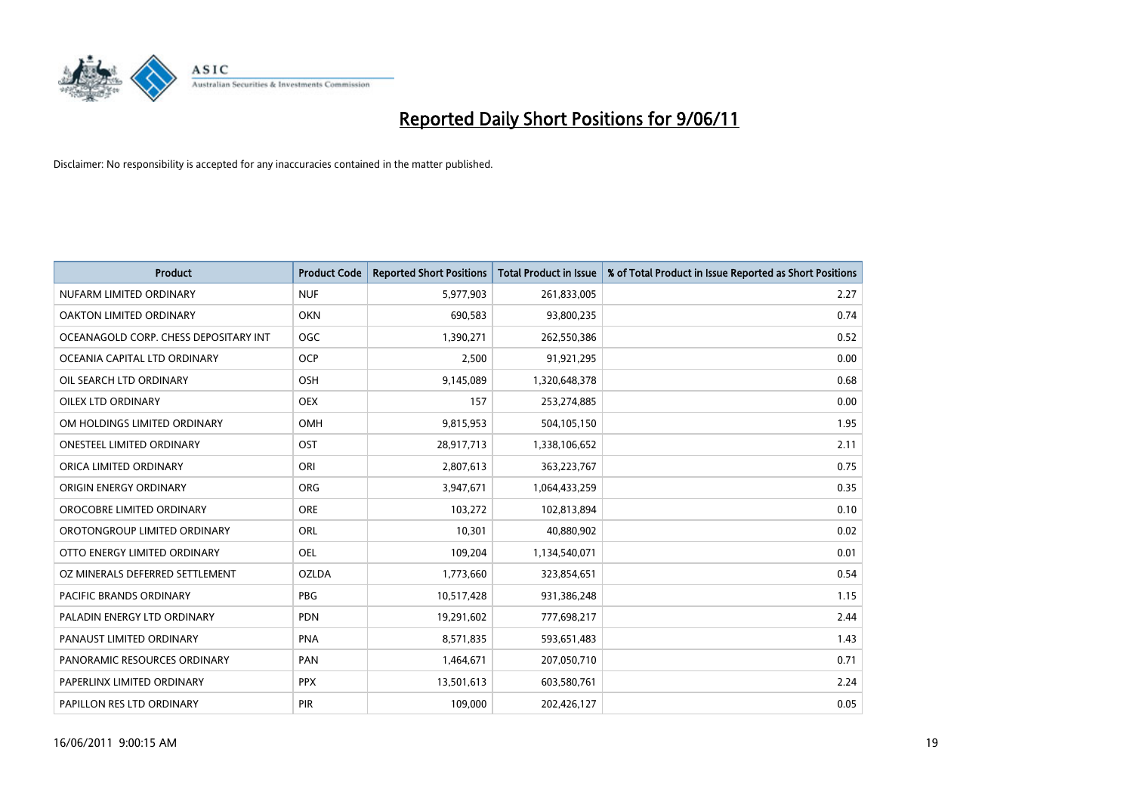

| <b>Product</b>                        | <b>Product Code</b> | <b>Reported Short Positions</b> | Total Product in Issue | % of Total Product in Issue Reported as Short Positions |
|---------------------------------------|---------------------|---------------------------------|------------------------|---------------------------------------------------------|
| NUFARM LIMITED ORDINARY               | <b>NUF</b>          | 5,977,903                       | 261,833,005            | 2.27                                                    |
| OAKTON LIMITED ORDINARY               | <b>OKN</b>          | 690,583                         | 93,800,235             | 0.74                                                    |
| OCEANAGOLD CORP. CHESS DEPOSITARY INT | OGC                 | 1,390,271                       | 262,550,386            | 0.52                                                    |
| OCEANIA CAPITAL LTD ORDINARY          | <b>OCP</b>          | 2,500                           | 91,921,295             | 0.00                                                    |
| OIL SEARCH LTD ORDINARY               | <b>OSH</b>          | 9,145,089                       | 1,320,648,378          | 0.68                                                    |
| <b>OILEX LTD ORDINARY</b>             | <b>OEX</b>          | 157                             | 253,274,885            | 0.00                                                    |
| OM HOLDINGS LIMITED ORDINARY          | <b>OMH</b>          | 9,815,953                       | 504,105,150            | 1.95                                                    |
| ONESTEEL LIMITED ORDINARY             | OST                 | 28,917,713                      | 1,338,106,652          | 2.11                                                    |
| ORICA LIMITED ORDINARY                | ORI                 | 2,807,613                       | 363,223,767            | 0.75                                                    |
| ORIGIN ENERGY ORDINARY                | ORG                 | 3,947,671                       | 1,064,433,259          | 0.35                                                    |
| OROCOBRE LIMITED ORDINARY             | <b>ORE</b>          | 103,272                         | 102,813,894            | 0.10                                                    |
| OROTONGROUP LIMITED ORDINARY          | ORL                 | 10,301                          | 40,880,902             | 0.02                                                    |
| OTTO ENERGY LIMITED ORDINARY          | <b>OEL</b>          | 109,204                         | 1,134,540,071          | 0.01                                                    |
| OZ MINERALS DEFERRED SETTLEMENT       | <b>OZLDA</b>        | 1,773,660                       | 323,854,651            | 0.54                                                    |
| <b>PACIFIC BRANDS ORDINARY</b>        | <b>PBG</b>          | 10,517,428                      | 931,386,248            | 1.15                                                    |
| PALADIN ENERGY LTD ORDINARY           | <b>PDN</b>          | 19,291,602                      | 777,698,217            | 2.44                                                    |
| PANAUST LIMITED ORDINARY              | <b>PNA</b>          | 8,571,835                       | 593,651,483            | 1.43                                                    |
| PANORAMIC RESOURCES ORDINARY          | PAN                 | 1,464,671                       | 207,050,710            | 0.71                                                    |
| PAPERLINX LIMITED ORDINARY            | <b>PPX</b>          | 13,501,613                      | 603,580,761            | 2.24                                                    |
| PAPILLON RES LTD ORDINARY             | <b>PIR</b>          | 109,000                         | 202,426,127            | 0.05                                                    |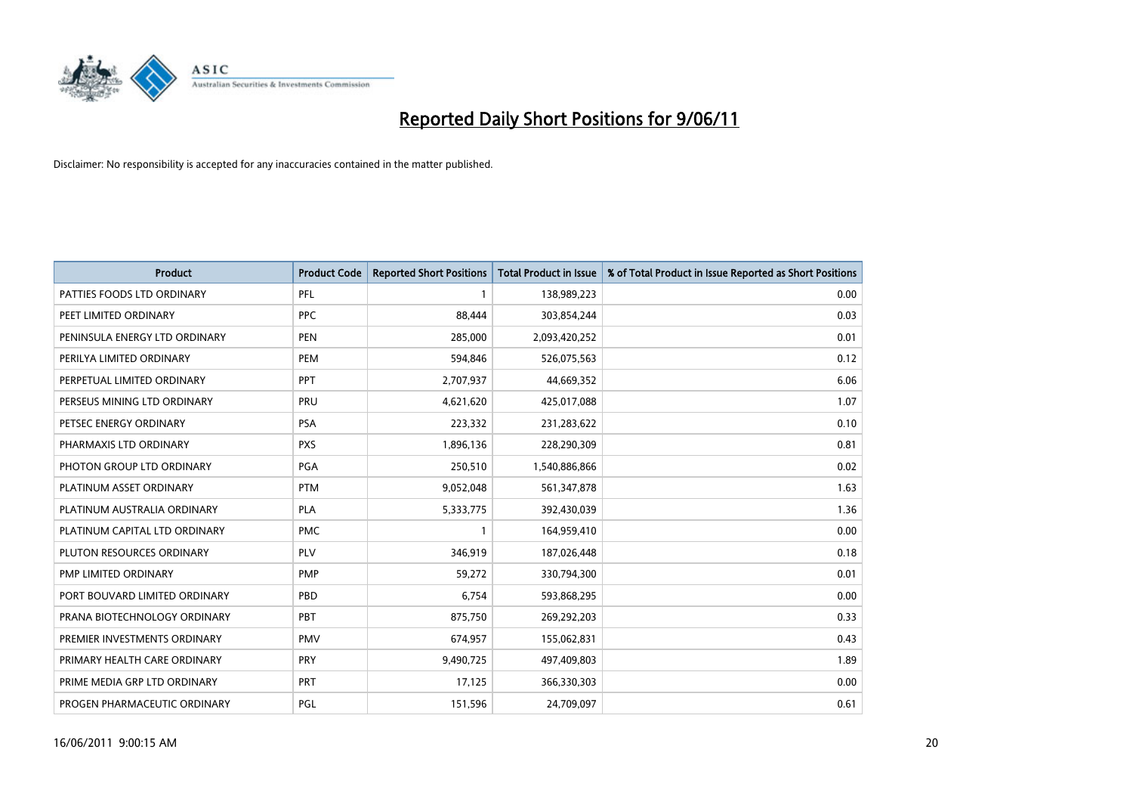

| <b>Product</b>                | <b>Product Code</b> | <b>Reported Short Positions</b> | <b>Total Product in Issue</b> | % of Total Product in Issue Reported as Short Positions |
|-------------------------------|---------------------|---------------------------------|-------------------------------|---------------------------------------------------------|
| PATTIES FOODS LTD ORDINARY    | PFL                 |                                 | 138,989,223                   | 0.00                                                    |
| PEET LIMITED ORDINARY         | <b>PPC</b>          | 88,444                          | 303,854,244                   | 0.03                                                    |
| PENINSULA ENERGY LTD ORDINARY | <b>PEN</b>          | 285,000                         | 2,093,420,252                 | 0.01                                                    |
| PERILYA LIMITED ORDINARY      | PEM                 | 594,846                         | 526,075,563                   | 0.12                                                    |
| PERPETUAL LIMITED ORDINARY    | <b>PPT</b>          | 2,707,937                       | 44,669,352                    | 6.06                                                    |
| PERSEUS MINING LTD ORDINARY   | PRU                 | 4,621,620                       | 425,017,088                   | 1.07                                                    |
| PETSEC ENERGY ORDINARY        | <b>PSA</b>          | 223,332                         | 231,283,622                   | 0.10                                                    |
| PHARMAXIS LTD ORDINARY        | <b>PXS</b>          | 1,896,136                       | 228,290,309                   | 0.81                                                    |
| PHOTON GROUP LTD ORDINARY     | PGA                 | 250,510                         | 1,540,886,866                 | 0.02                                                    |
| PLATINUM ASSET ORDINARY       | <b>PTM</b>          | 9,052,048                       | 561,347,878                   | 1.63                                                    |
| PLATINUM AUSTRALIA ORDINARY   | <b>PLA</b>          | 5,333,775                       | 392,430,039                   | 1.36                                                    |
| PLATINUM CAPITAL LTD ORDINARY | <b>PMC</b>          |                                 | 164,959,410                   | 0.00                                                    |
| PLUTON RESOURCES ORDINARY     | PLV                 | 346,919                         | 187,026,448                   | 0.18                                                    |
| <b>PMP LIMITED ORDINARY</b>   | <b>PMP</b>          | 59,272                          | 330,794,300                   | 0.01                                                    |
| PORT BOUVARD LIMITED ORDINARY | PBD                 | 6.754                           | 593,868,295                   | 0.00                                                    |
| PRANA BIOTECHNOLOGY ORDINARY  | PBT                 | 875,750                         | 269,292,203                   | 0.33                                                    |
| PREMIER INVESTMENTS ORDINARY  | <b>PMV</b>          | 674,957                         | 155,062,831                   | 0.43                                                    |
| PRIMARY HEALTH CARE ORDINARY  | <b>PRY</b>          | 9,490,725                       | 497,409,803                   | 1.89                                                    |
| PRIME MEDIA GRP LTD ORDINARY  | <b>PRT</b>          | 17,125                          | 366,330,303                   | 0.00                                                    |
| PROGEN PHARMACEUTIC ORDINARY  | PGL                 | 151,596                         | 24,709,097                    | 0.61                                                    |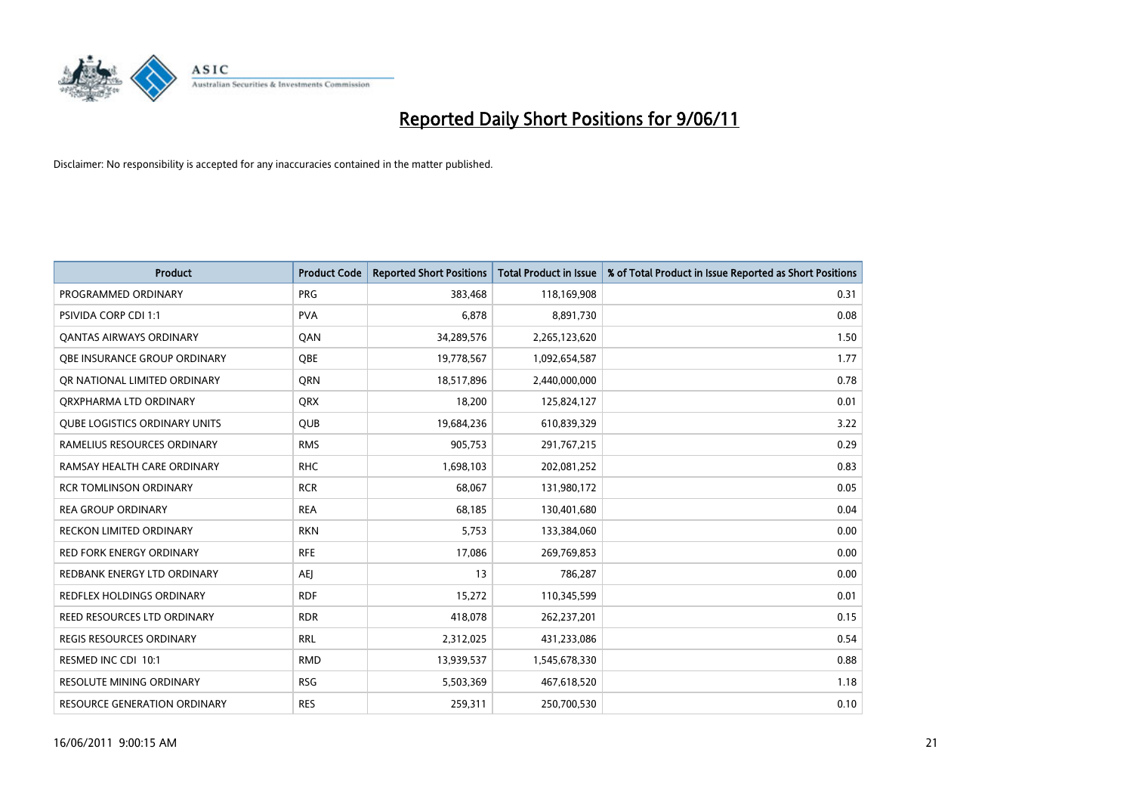

| <b>Product</b>                       | <b>Product Code</b> | <b>Reported Short Positions</b> | Total Product in Issue | % of Total Product in Issue Reported as Short Positions |
|--------------------------------------|---------------------|---------------------------------|------------------------|---------------------------------------------------------|
| PROGRAMMED ORDINARY                  | <b>PRG</b>          | 383,468                         | 118,169,908            | 0.31                                                    |
| <b>PSIVIDA CORP CDI 1:1</b>          | <b>PVA</b>          | 6,878                           | 8,891,730              | 0.08                                                    |
| <b>QANTAS AIRWAYS ORDINARY</b>       | <b>OAN</b>          | 34,289,576                      | 2,265,123,620          | 1.50                                                    |
| <b>OBE INSURANCE GROUP ORDINARY</b>  | <b>OBE</b>          | 19,778,567                      | 1,092,654,587          | 1.77                                                    |
| OR NATIONAL LIMITED ORDINARY         | <b>ORN</b>          | 18,517,896                      | 2,440,000,000          | 0.78                                                    |
| ORXPHARMA LTD ORDINARY               | <b>ORX</b>          | 18,200                          | 125,824,127            | 0.01                                                    |
| <b>QUBE LOGISTICS ORDINARY UNITS</b> | <b>QUB</b>          | 19,684,236                      | 610,839,329            | 3.22                                                    |
| RAMELIUS RESOURCES ORDINARY          | <b>RMS</b>          | 905,753                         | 291,767,215            | 0.29                                                    |
| RAMSAY HEALTH CARE ORDINARY          | <b>RHC</b>          | 1,698,103                       | 202,081,252            | 0.83                                                    |
| <b>RCR TOMLINSON ORDINARY</b>        | <b>RCR</b>          | 68.067                          | 131,980,172            | 0.05                                                    |
| <b>REA GROUP ORDINARY</b>            | <b>REA</b>          | 68,185                          | 130,401,680            | 0.04                                                    |
| RECKON LIMITED ORDINARY              | <b>RKN</b>          | 5,753                           | 133,384,060            | 0.00                                                    |
| RED FORK ENERGY ORDINARY             | <b>RFE</b>          | 17,086                          | 269,769,853            | 0.00                                                    |
| REDBANK ENERGY LTD ORDINARY          | <b>AEI</b>          | 13                              | 786,287                | 0.00                                                    |
| <b>REDFLEX HOLDINGS ORDINARY</b>     | <b>RDF</b>          | 15,272                          | 110,345,599            | 0.01                                                    |
| REED RESOURCES LTD ORDINARY          | <b>RDR</b>          | 418,078                         | 262,237,201            | 0.15                                                    |
| <b>REGIS RESOURCES ORDINARY</b>      | <b>RRL</b>          | 2,312,025                       | 431,233,086            | 0.54                                                    |
| RESMED INC CDI 10:1                  | <b>RMD</b>          | 13,939,537                      | 1,545,678,330          | 0.88                                                    |
| <b>RESOLUTE MINING ORDINARY</b>      | <b>RSG</b>          | 5,503,369                       | 467,618,520            | 1.18                                                    |
| RESOURCE GENERATION ORDINARY         | <b>RES</b>          | 259,311                         | 250,700,530            | 0.10                                                    |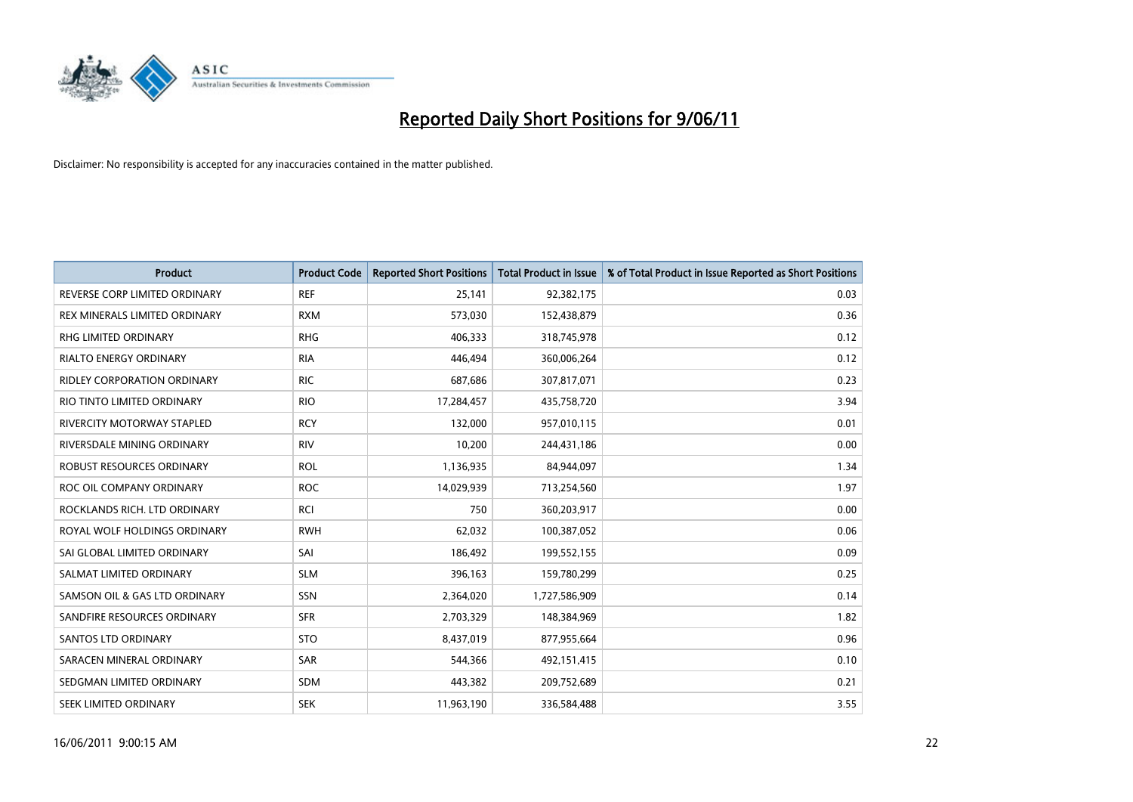

| <b>Product</b>                     | <b>Product Code</b> | <b>Reported Short Positions</b> | <b>Total Product in Issue</b> | % of Total Product in Issue Reported as Short Positions |
|------------------------------------|---------------------|---------------------------------|-------------------------------|---------------------------------------------------------|
| REVERSE CORP LIMITED ORDINARY      | <b>REF</b>          | 25,141                          | 92,382,175                    | 0.03                                                    |
| REX MINERALS LIMITED ORDINARY      | <b>RXM</b>          | 573,030                         | 152,438,879                   | 0.36                                                    |
| RHG LIMITED ORDINARY               | <b>RHG</b>          | 406,333                         | 318,745,978                   | 0.12                                                    |
| <b>RIALTO ENERGY ORDINARY</b>      | <b>RIA</b>          | 446,494                         | 360,006,264                   | 0.12                                                    |
| <b>RIDLEY CORPORATION ORDINARY</b> | <b>RIC</b>          | 687,686                         | 307,817,071                   | 0.23                                                    |
| RIO TINTO LIMITED ORDINARY         | <b>RIO</b>          | 17,284,457                      | 435,758,720                   | 3.94                                                    |
| RIVERCITY MOTORWAY STAPLED         | <b>RCY</b>          | 132,000                         | 957,010,115                   | 0.01                                                    |
| RIVERSDALE MINING ORDINARY         | <b>RIV</b>          | 10,200                          | 244,431,186                   | 0.00                                                    |
| <b>ROBUST RESOURCES ORDINARY</b>   | <b>ROL</b>          | 1,136,935                       | 84,944,097                    | 1.34                                                    |
| ROC OIL COMPANY ORDINARY           | <b>ROC</b>          | 14,029,939                      | 713,254,560                   | 1.97                                                    |
| ROCKLANDS RICH. LTD ORDINARY       | RCI                 | 750                             | 360,203,917                   | 0.00                                                    |
| ROYAL WOLF HOLDINGS ORDINARY       | <b>RWH</b>          | 62,032                          | 100,387,052                   | 0.06                                                    |
| SAI GLOBAL LIMITED ORDINARY        | SAI                 | 186,492                         | 199,552,155                   | 0.09                                                    |
| SALMAT LIMITED ORDINARY            | <b>SLM</b>          | 396,163                         | 159,780,299                   | 0.25                                                    |
| SAMSON OIL & GAS LTD ORDINARY      | SSN                 | 2,364,020                       | 1,727,586,909                 | 0.14                                                    |
| SANDFIRE RESOURCES ORDINARY        | <b>SFR</b>          | 2,703,329                       | 148,384,969                   | 1.82                                                    |
| <b>SANTOS LTD ORDINARY</b>         | <b>STO</b>          | 8,437,019                       | 877,955,664                   | 0.96                                                    |
| SARACEN MINERAL ORDINARY           | <b>SAR</b>          | 544,366                         | 492,151,415                   | 0.10                                                    |
| SEDGMAN LIMITED ORDINARY           | <b>SDM</b>          | 443,382                         | 209,752,689                   | 0.21                                                    |
| SEEK LIMITED ORDINARY              | <b>SEK</b>          | 11,963,190                      | 336,584,488                   | 3.55                                                    |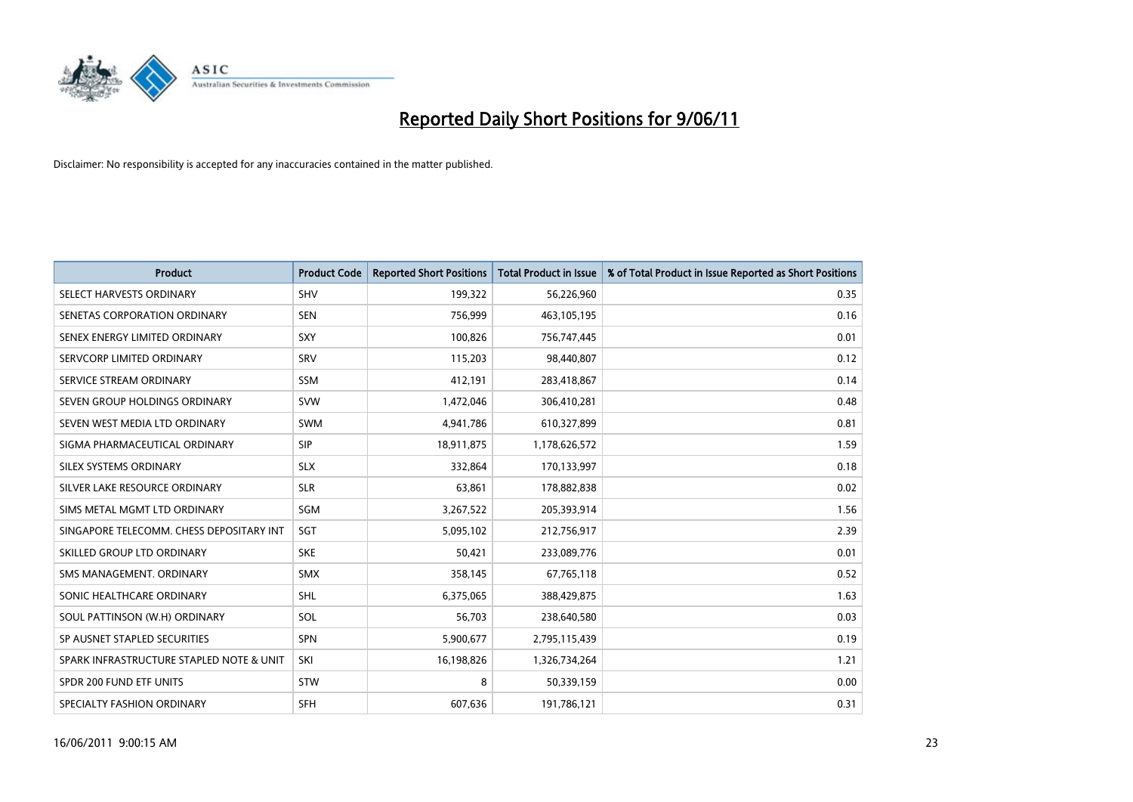

| <b>Product</b>                           | <b>Product Code</b> | <b>Reported Short Positions</b> | Total Product in Issue | % of Total Product in Issue Reported as Short Positions |
|------------------------------------------|---------------------|---------------------------------|------------------------|---------------------------------------------------------|
| SELECT HARVESTS ORDINARY                 | SHV                 | 199,322                         | 56,226,960             | 0.35                                                    |
| SENETAS CORPORATION ORDINARY             | <b>SEN</b>          | 756,999                         | 463,105,195            | 0.16                                                    |
| SENEX ENERGY LIMITED ORDINARY            | SXY                 | 100,826                         | 756,747,445            | 0.01                                                    |
| SERVCORP LIMITED ORDINARY                | SRV                 | 115,203                         | 98,440,807             | 0.12                                                    |
| SERVICE STREAM ORDINARY                  | <b>SSM</b>          | 412,191                         | 283,418,867            | 0.14                                                    |
| SEVEN GROUP HOLDINGS ORDINARY            | <b>SVW</b>          | 1,472,046                       | 306,410,281            | 0.48                                                    |
| SEVEN WEST MEDIA LTD ORDINARY            | <b>SWM</b>          | 4,941,786                       | 610,327,899            | 0.81                                                    |
| SIGMA PHARMACEUTICAL ORDINARY            | SIP                 | 18,911,875                      | 1,178,626,572          | 1.59                                                    |
| SILEX SYSTEMS ORDINARY                   | <b>SLX</b>          | 332,864                         | 170,133,997            | 0.18                                                    |
| SILVER LAKE RESOURCE ORDINARY            | <b>SLR</b>          | 63,861                          | 178,882,838            | 0.02                                                    |
| SIMS METAL MGMT LTD ORDINARY             | SGM                 | 3,267,522                       | 205,393,914            | 1.56                                                    |
| SINGAPORE TELECOMM. CHESS DEPOSITARY INT | SGT                 | 5,095,102                       | 212,756,917            | 2.39                                                    |
| SKILLED GROUP LTD ORDINARY               | <b>SKE</b>          | 50,421                          | 233,089,776            | 0.01                                                    |
| SMS MANAGEMENT, ORDINARY                 | <b>SMX</b>          | 358,145                         | 67,765,118             | 0.52                                                    |
| SONIC HEALTHCARE ORDINARY                | <b>SHL</b>          | 6,375,065                       | 388,429,875            | 1.63                                                    |
| SOUL PATTINSON (W.H) ORDINARY            | SOL                 | 56,703                          | 238,640,580            | 0.03                                                    |
| SP AUSNET STAPLED SECURITIES             | SPN                 | 5,900,677                       | 2,795,115,439          | 0.19                                                    |
| SPARK INFRASTRUCTURE STAPLED NOTE & UNIT | SKI                 | 16,198,826                      | 1,326,734,264          | 1.21                                                    |
| SPDR 200 FUND ETF UNITS                  | <b>STW</b>          | 8                               | 50,339,159             | 0.00                                                    |
| SPECIALTY FASHION ORDINARY               | SFH                 | 607,636                         | 191,786,121            | 0.31                                                    |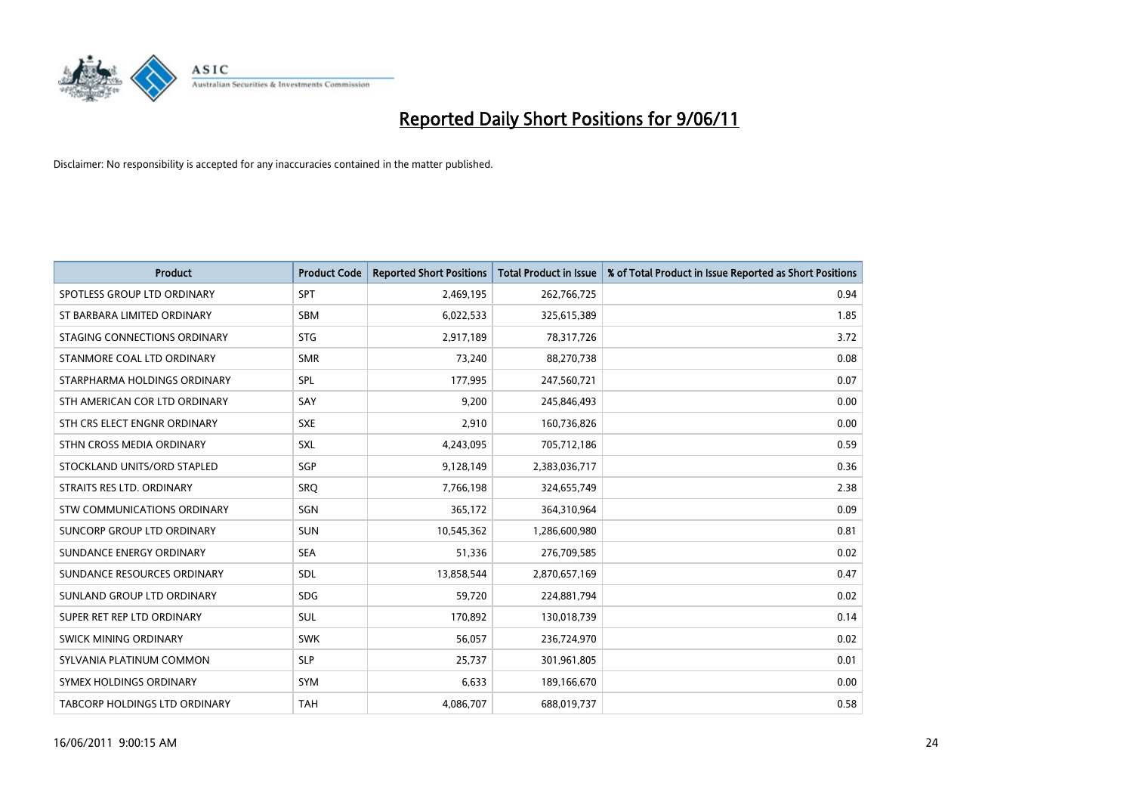

| <b>Product</b>                | <b>Product Code</b> | <b>Reported Short Positions</b> | Total Product in Issue | % of Total Product in Issue Reported as Short Positions |
|-------------------------------|---------------------|---------------------------------|------------------------|---------------------------------------------------------|
| SPOTLESS GROUP LTD ORDINARY   | <b>SPT</b>          | 2,469,195                       | 262,766,725            | 0.94                                                    |
| ST BARBARA LIMITED ORDINARY   | SBM                 | 6,022,533                       | 325,615,389            | 1.85                                                    |
| STAGING CONNECTIONS ORDINARY  | <b>STG</b>          | 2,917,189                       | 78,317,726             | 3.72                                                    |
| STANMORE COAL LTD ORDINARY    | <b>SMR</b>          | 73,240                          | 88,270,738             | 0.08                                                    |
| STARPHARMA HOLDINGS ORDINARY  | SPL                 | 177,995                         | 247,560,721            | 0.07                                                    |
| STH AMERICAN COR LTD ORDINARY | SAY                 | 9,200                           | 245,846,493            | 0.00                                                    |
| STH CRS ELECT ENGNR ORDINARY  | <b>SXE</b>          | 2.910                           | 160,736,826            | 0.00                                                    |
| STHN CROSS MEDIA ORDINARY     | <b>SXL</b>          | 4,243,095                       | 705,712,186            | 0.59                                                    |
| STOCKLAND UNITS/ORD STAPLED   | <b>SGP</b>          | 9,128,149                       | 2,383,036,717          | 0.36                                                    |
| STRAITS RES LTD. ORDINARY     | SRO                 | 7,766,198                       | 324,655,749            | 2.38                                                    |
| STW COMMUNICATIONS ORDINARY   | SGN                 | 365,172                         | 364,310,964            | 0.09                                                    |
| SUNCORP GROUP LTD ORDINARY    | <b>SUN</b>          | 10,545,362                      | 1,286,600,980          | 0.81                                                    |
| SUNDANCE ENERGY ORDINARY      | <b>SEA</b>          | 51.336                          | 276,709,585            | 0.02                                                    |
| SUNDANCE RESOURCES ORDINARY   | <b>SDL</b>          | 13,858,544                      | 2,870,657,169          | 0.47                                                    |
| SUNLAND GROUP LTD ORDINARY    | <b>SDG</b>          | 59,720                          | 224,881,794            | 0.02                                                    |
| SUPER RET REP LTD ORDINARY    | <b>SUL</b>          | 170,892                         | 130,018,739            | 0.14                                                    |
| <b>SWICK MINING ORDINARY</b>  | <b>SWK</b>          | 56,057                          | 236,724,970            | 0.02                                                    |
| SYLVANIA PLATINUM COMMON      | <b>SLP</b>          | 25,737                          | 301,961,805            | 0.01                                                    |
| SYMEX HOLDINGS ORDINARY       | <b>SYM</b>          | 6,633                           | 189,166,670            | 0.00                                                    |
| TABCORP HOLDINGS LTD ORDINARY | <b>TAH</b>          | 4,086,707                       | 688,019,737            | 0.58                                                    |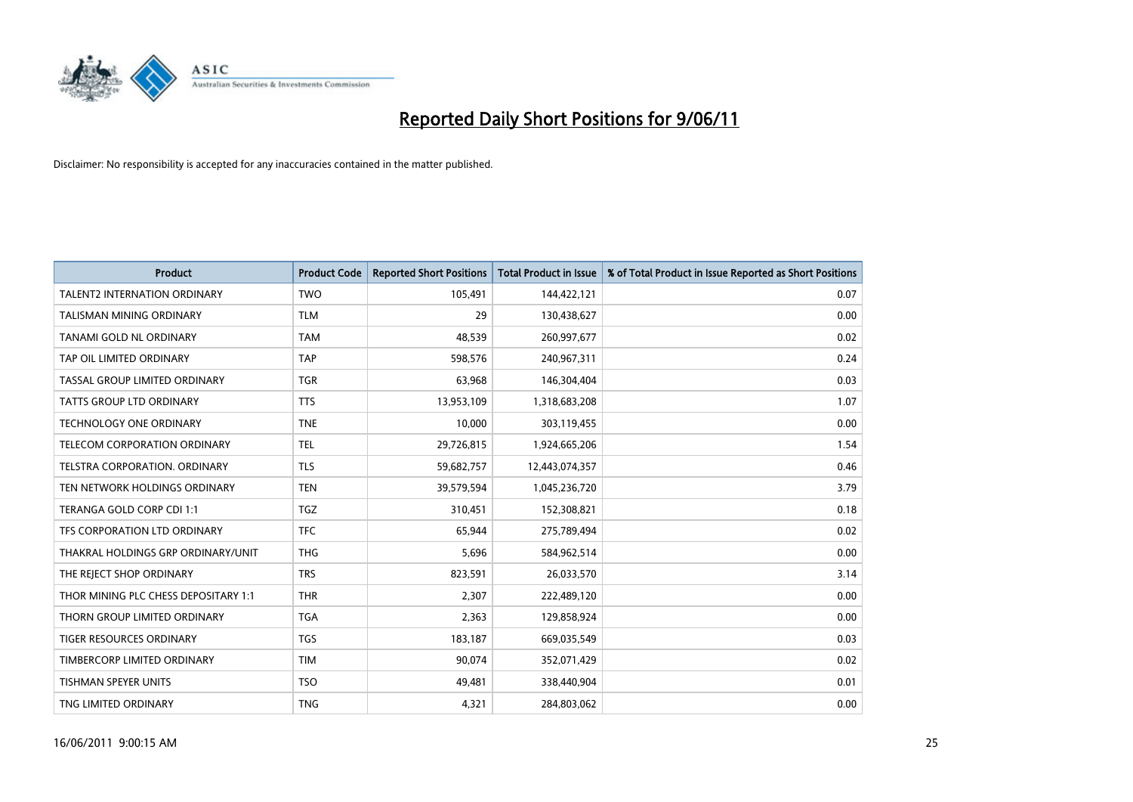

| <b>Product</b>                       | <b>Product Code</b> | <b>Reported Short Positions</b> | <b>Total Product in Issue</b> | % of Total Product in Issue Reported as Short Positions |
|--------------------------------------|---------------------|---------------------------------|-------------------------------|---------------------------------------------------------|
| <b>TALENT2 INTERNATION ORDINARY</b>  | <b>TWO</b>          | 105,491                         | 144,422,121                   | 0.07                                                    |
| TALISMAN MINING ORDINARY             | <b>TLM</b>          | 29                              | 130,438,627                   | 0.00                                                    |
| TANAMI GOLD NL ORDINARY              | <b>TAM</b>          | 48,539                          | 260,997,677                   | 0.02                                                    |
| TAP OIL LIMITED ORDINARY             | <b>TAP</b>          | 598,576                         | 240,967,311                   | 0.24                                                    |
| TASSAL GROUP LIMITED ORDINARY        | <b>TGR</b>          | 63,968                          | 146,304,404                   | 0.03                                                    |
| <b>TATTS GROUP LTD ORDINARY</b>      | <b>TTS</b>          | 13,953,109                      | 1,318,683,208                 | 1.07                                                    |
| <b>TECHNOLOGY ONE ORDINARY</b>       | <b>TNE</b>          | 10,000                          | 303,119,455                   | 0.00                                                    |
| TELECOM CORPORATION ORDINARY         | <b>TEL</b>          | 29,726,815                      | 1,924,665,206                 | 1.54                                                    |
| TELSTRA CORPORATION, ORDINARY        | <b>TLS</b>          | 59,682,757                      | 12,443,074,357                | 0.46                                                    |
| TEN NETWORK HOLDINGS ORDINARY        | <b>TEN</b>          | 39,579,594                      | 1,045,236,720                 | 3.79                                                    |
| TERANGA GOLD CORP CDI 1:1            | <b>TGZ</b>          | 310,451                         | 152,308,821                   | 0.18                                                    |
| TFS CORPORATION LTD ORDINARY         | <b>TFC</b>          | 65,944                          | 275,789,494                   | 0.02                                                    |
| THAKRAL HOLDINGS GRP ORDINARY/UNIT   | <b>THG</b>          | 5,696                           | 584,962,514                   | 0.00                                                    |
| THE REJECT SHOP ORDINARY             | <b>TRS</b>          | 823,591                         | 26,033,570                    | 3.14                                                    |
| THOR MINING PLC CHESS DEPOSITARY 1:1 | <b>THR</b>          | 2,307                           | 222,489,120                   | 0.00                                                    |
| THORN GROUP LIMITED ORDINARY         | <b>TGA</b>          | 2,363                           | 129,858,924                   | 0.00                                                    |
| TIGER RESOURCES ORDINARY             | <b>TGS</b>          | 183,187                         | 669,035,549                   | 0.03                                                    |
| TIMBERCORP LIMITED ORDINARY          | <b>TIM</b>          | 90,074                          | 352,071,429                   | 0.02                                                    |
| TISHMAN SPEYER UNITS                 | <b>TSO</b>          | 49,481                          | 338,440,904                   | 0.01                                                    |
| TNG LIMITED ORDINARY                 | <b>TNG</b>          | 4,321                           | 284,803,062                   | 0.00                                                    |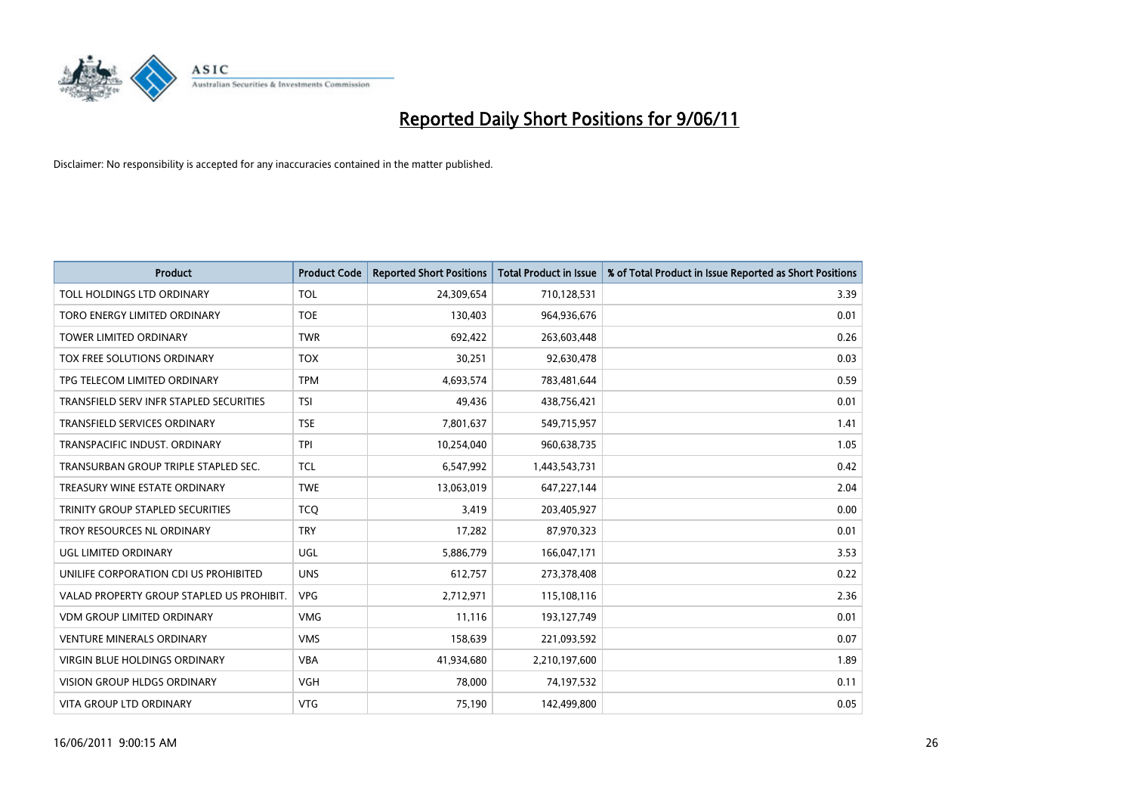

| <b>Product</b>                            | <b>Product Code</b> | <b>Reported Short Positions</b> | Total Product in Issue | % of Total Product in Issue Reported as Short Positions |
|-------------------------------------------|---------------------|---------------------------------|------------------------|---------------------------------------------------------|
| TOLL HOLDINGS LTD ORDINARY                | <b>TOL</b>          | 24,309,654                      | 710,128,531            | 3.39                                                    |
| TORO ENERGY LIMITED ORDINARY              | <b>TOE</b>          | 130,403                         | 964,936,676            | 0.01                                                    |
| <b>TOWER LIMITED ORDINARY</b>             | <b>TWR</b>          | 692,422                         | 263,603,448            | 0.26                                                    |
| TOX FREE SOLUTIONS ORDINARY               | <b>TOX</b>          | 30,251                          | 92,630,478             | 0.03                                                    |
| TPG TELECOM LIMITED ORDINARY              | <b>TPM</b>          | 4,693,574                       | 783,481,644            | 0.59                                                    |
| TRANSFIELD SERV INFR STAPLED SECURITIES   | <b>TSI</b>          | 49.436                          | 438,756,421            | 0.01                                                    |
| TRANSFIELD SERVICES ORDINARY              | <b>TSE</b>          | 7,801,637                       | 549,715,957            | 1.41                                                    |
| TRANSPACIFIC INDUST, ORDINARY             | <b>TPI</b>          | 10,254,040                      | 960,638,735            | 1.05                                                    |
| TRANSURBAN GROUP TRIPLE STAPLED SEC.      | <b>TCL</b>          | 6,547,992                       | 1,443,543,731          | 0.42                                                    |
| TREASURY WINE ESTATE ORDINARY             | <b>TWE</b>          | 13,063,019                      | 647,227,144            | 2.04                                                    |
| TRINITY GROUP STAPLED SECURITIES          | <b>TCO</b>          | 3,419                           | 203,405,927            | 0.00                                                    |
| TROY RESOURCES NL ORDINARY                | <b>TRY</b>          | 17,282                          | 87,970,323             | 0.01                                                    |
| UGL LIMITED ORDINARY                      | UGL                 | 5,886,779                       | 166,047,171            | 3.53                                                    |
| UNILIFE CORPORATION CDI US PROHIBITED     | <b>UNS</b>          | 612,757                         | 273,378,408            | 0.22                                                    |
| VALAD PROPERTY GROUP STAPLED US PROHIBIT. | <b>VPG</b>          | 2,712,971                       | 115,108,116            | 2.36                                                    |
| <b>VDM GROUP LIMITED ORDINARY</b>         | <b>VMG</b>          | 11,116                          | 193,127,749            | 0.01                                                    |
| <b>VENTURE MINERALS ORDINARY</b>          | <b>VMS</b>          | 158,639                         | 221,093,592            | 0.07                                                    |
| <b>VIRGIN BLUE HOLDINGS ORDINARY</b>      | <b>VBA</b>          | 41,934,680                      | 2,210,197,600          | 1.89                                                    |
| <b>VISION GROUP HLDGS ORDINARY</b>        | <b>VGH</b>          | 78,000                          | 74,197,532             | 0.11                                                    |
| <b>VITA GROUP LTD ORDINARY</b>            | <b>VTG</b>          | 75,190                          | 142,499,800            | 0.05                                                    |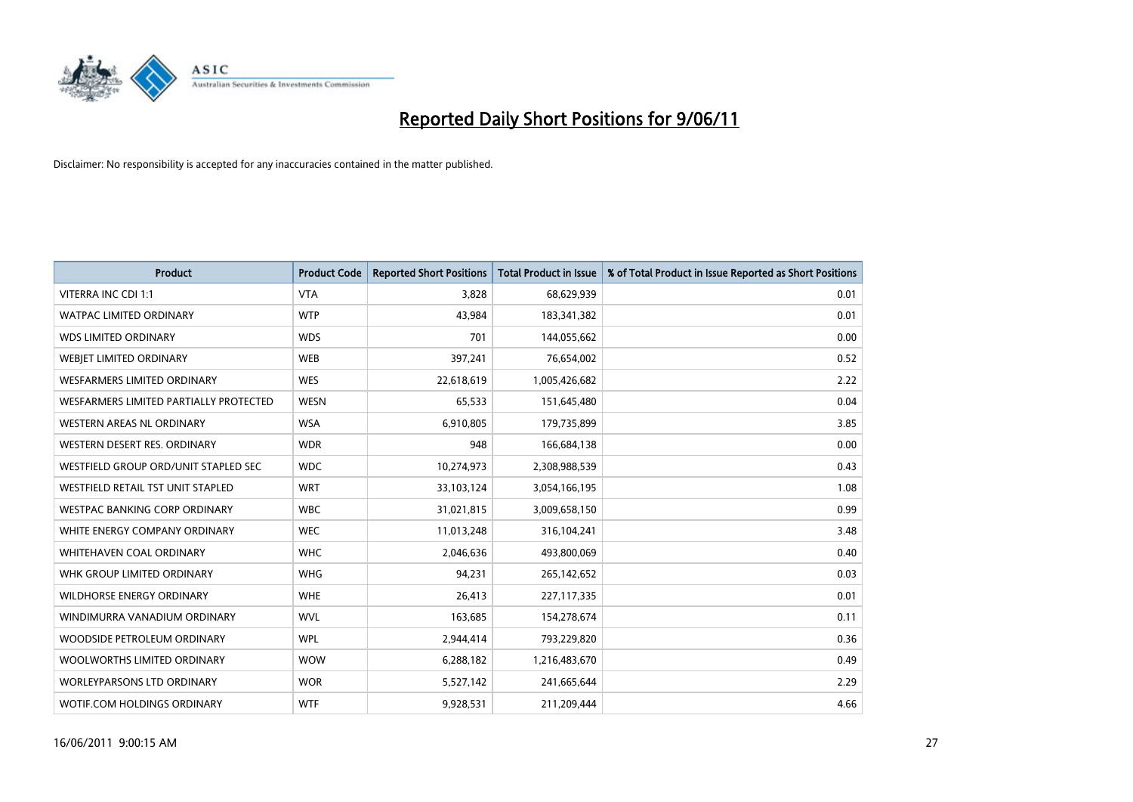

| <b>Product</b>                         | <b>Product Code</b> | <b>Reported Short Positions</b> | <b>Total Product in Issue</b> | % of Total Product in Issue Reported as Short Positions |
|----------------------------------------|---------------------|---------------------------------|-------------------------------|---------------------------------------------------------|
| <b>VITERRA INC CDI 1:1</b>             | <b>VTA</b>          | 3,828                           | 68,629,939                    | 0.01                                                    |
| <b>WATPAC LIMITED ORDINARY</b>         | <b>WTP</b>          | 43,984                          | 183,341,382                   | 0.01                                                    |
| <b>WDS LIMITED ORDINARY</b>            | <b>WDS</b>          | 701                             | 144,055,662                   | 0.00                                                    |
| WEBJET LIMITED ORDINARY                | <b>WEB</b>          | 397,241                         | 76,654,002                    | 0.52                                                    |
| <b>WESFARMERS LIMITED ORDINARY</b>     | <b>WES</b>          | 22,618,619                      | 1,005,426,682                 | 2.22                                                    |
| WESFARMERS LIMITED PARTIALLY PROTECTED | <b>WESN</b>         | 65,533                          | 151,645,480                   | 0.04                                                    |
| WESTERN AREAS NL ORDINARY              | <b>WSA</b>          | 6,910,805                       | 179,735,899                   | 3.85                                                    |
| WESTERN DESERT RES. ORDINARY           | <b>WDR</b>          | 948                             | 166,684,138                   | 0.00                                                    |
| WESTFIELD GROUP ORD/UNIT STAPLED SEC   | <b>WDC</b>          | 10,274,973                      | 2,308,988,539                 | 0.43                                                    |
| WESTFIELD RETAIL TST UNIT STAPLED      | <b>WRT</b>          | 33,103,124                      | 3,054,166,195                 | 1.08                                                    |
| WESTPAC BANKING CORP ORDINARY          | <b>WBC</b>          | 31,021,815                      | 3,009,658,150                 | 0.99                                                    |
| WHITE ENERGY COMPANY ORDINARY          | <b>WEC</b>          | 11,013,248                      | 316,104,241                   | 3.48                                                    |
| WHITEHAVEN COAL ORDINARY               | <b>WHC</b>          | 2,046,636                       | 493,800,069                   | 0.40                                                    |
| WHK GROUP LIMITED ORDINARY             | <b>WHG</b>          | 94,231                          | 265,142,652                   | 0.03                                                    |
| <b>WILDHORSE ENERGY ORDINARY</b>       | <b>WHE</b>          | 26,413                          | 227,117,335                   | 0.01                                                    |
| WINDIMURRA VANADIUM ORDINARY           | <b>WVL</b>          | 163,685                         | 154,278,674                   | 0.11                                                    |
| WOODSIDE PETROLEUM ORDINARY            | <b>WPL</b>          | 2,944,414                       | 793,229,820                   | 0.36                                                    |
| WOOLWORTHS LIMITED ORDINARY            | <b>WOW</b>          | 6,288,182                       | 1,216,483,670                 | 0.49                                                    |
| <b>WORLEYPARSONS LTD ORDINARY</b>      | <b>WOR</b>          | 5,527,142                       | 241,665,644                   | 2.29                                                    |
| WOTIF.COM HOLDINGS ORDINARY            | <b>WTF</b>          | 9,928,531                       | 211,209,444                   | 4.66                                                    |